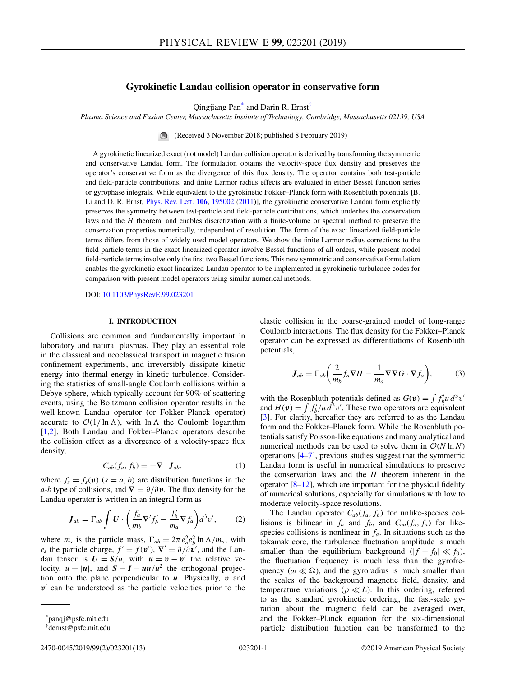# **Gyrokinetic Landau collision operator in conservative form**

Qingjiang Pan\* and Darin R. Ernst†

<span id="page-0-0"></span>*Plasma Science and Fusion Center, Massachusetts Institute of Technology, Cambridge, Massachusetts 02139, USA*

(Received 3 November 2018; published 8 February 2019)

A gyrokinetic linearized exact (not model) Landau collision operator is derived by transforming the symmetric and conservative Landau form. The formulation obtains the velocity-space flux density and preserves the operator's conservative form as the divergence of this flux density. The operator contains both test-particle and field-particle contributions, and finite Larmor radius effects are evaluated in either Bessel function series or gyrophase integrals. While equivalent to the gyrokinetic Fokker–Planck form with Rosenbluth potentials [B. Li and D. R. Ernst, [Phys. Rev. Lett.](https://doi.org/10.1103/PhysRevLett.106.195002) **[106](https://doi.org/10.1103/PhysRevLett.106.195002)**, [195002](https://doi.org/10.1103/PhysRevLett.106.195002) [\(2011\)](https://doi.org/10.1103/PhysRevLett.106.195002)], the gyrokinetic conservative Landau form explicitly preserves the symmetry between test-particle and field-particle contributions, which underlies the conservation laws and the *H* theorem, and enables discretization with a finite-volume or spectral method to preserve the conservation properties numerically, independent of resolution. The form of the exact linearized field-particle terms differs from those of widely used model operators. We show the finite Larmor radius corrections to the field-particle terms in the exact linearized operator involve Bessel functions of all orders, while present model field-particle terms involve only the first two Bessel functions. This new symmetric and conservative formulation enables the gyrokinetic exact linearized Landau operator to be implemented in gyrokinetic turbulence codes for comparison with present model operators using similar numerical methods.

DOI: [10.1103/PhysRevE.99.023201](https://doi.org/10.1103/PhysRevE.99.023201)

## **I. INTRODUCTION**

Collisions are common and fundamentally important in laboratory and natural plasmas. They play an essential role in the classical and neoclassical transport in magnetic fusion confinement experiments, and irreversibly dissipate kinetic energy into thermal energy in kinetic turbulence. Considering the statistics of small-angle Coulomb collisions within a Debye sphere, which typically account for 90% of scattering events, using the Boltzmann collision operator results in the well-known Landau operator (or Fokker–Planck operator) accurate to  $O(1/\ln \Lambda)$ , with  $\ln \Lambda$  the Coulomb logarithm [\[1,2\]](#page-12-0). Both Landau and Fokker–Planck operators describe the collision effect as a divergence of a velocity-space flux density,

$$
C_{ab}(f_a, f_b) = -\nabla \cdot \mathbf{J}_{ab},\tag{1}
$$

where  $f_s = f_s(\mathbf{v})$  ( $s = a, b$ ) are distribution functions in the *a*-*b* type of collisions, and  $\nabla = \partial/\partial \nu$ . The flux density for the Landau operator is written in an integral form as

$$
\boldsymbol{J}_{ab} = \Gamma_{ab} \int \boldsymbol{U} \cdot \left( \frac{f_a}{m_b} \nabla' f_b' - \frac{f_b'}{m_a} \nabla f_a \right) d^3 v', \qquad (2)
$$

where  $m_s$  is the particle mass,  $\Gamma_{ab} = 2\pi e_a^2 e_b^2 \ln \Lambda / m_a$ , with *e<sub>s</sub>* the particle charge,  $f' = f(\mathbf{v}')$ ,  $\nabla' = \partial/\partial \mathbf{v}'$ , and the Landau tensor is  $U = S/u$ , with  $u = v - v'$  the relative velocity,  $u = |u|$ , and  $S = I - uu/u^2$  the orthogonal projection onto the plane perpendicular to *u*. Physically, *v* and v<sup>-</sup> can be understood as the particle velocities prior to the elastic collision in the coarse-grained model of long-range Coulomb interactions. The flux density for the Fokker–Planck operator can be expressed as differentiations of Rosenbluth potentials,

$$
\boldsymbol{J}_{ab} = \Gamma_{ab} \bigg( \frac{2}{m_b} f_a \nabla H - \frac{1}{m_a} \nabla \nabla G \cdot \nabla f_a \bigg), \tag{3}
$$

with the Rosenbluth potentials defined as  $G(v) = \int f'_b u d^3v'$ and  $H(\mathbf{v}) = \int f'_b / u \, d^3 v'$ . These two operators are equivalent [\[3\]](#page-12-0). For clarity, hereafter they are referred to as the Landau form and the Fokker–Planck form. While the Rosenbluth potentials satisfy Poisson-like equations and many analytical and numerical methods can be used to solve them in  $O(N \ln N)$ operations [\[4–7\]](#page-12-0), previous studies suggest that the symmetric Landau form is useful in numerical simulations to preserve the conservation laws and the *H* theorem inherent in the operator [\[8–12\]](#page-12-0), which are important for the physical fidelity of numerical solutions, especially for simulations with low to moderate velocity-space resolutions.

The Landau operator  $C_{ab}(f_a, f_b)$  for unlike-species collisions is bilinear in  $f_a$  and  $f_b$ , and  $C_{aa}(f_a, f_a)$  for likespecies collisions is nonlinear in  $f_a$ . In situations such as the tokamak core, the turbulence fluctuation amplitude is much smaller than the equilibrium background  $(|f - f_0| \ll f_0)$ , the fluctuation frequency is much less than the gyrofrequency ( $\omega \ll \Omega$ ), and the gyroradius is much smaller than the scales of the background magnetic field, density, and temperature variations ( $\rho \ll L$ ). In this ordering, referred to as the standard gyrokinetic ordering, the fast-scale gyration about the magnetic field can be averaged over, and the Fokker–Planck equation for the six-dimensional particle distribution function can be transformed to the

<sup>\*</sup>panqj@psfc.mit.edu

<sup>†</sup>dernst@psfc.mit.edu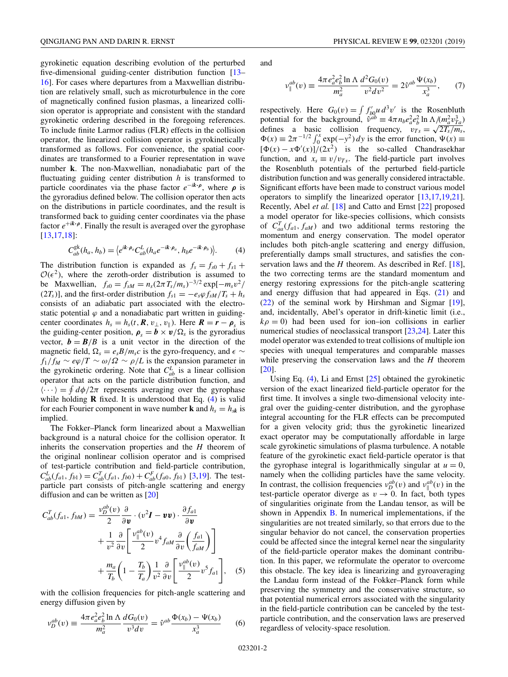<span id="page-1-0"></span>gyrokinetic equation describing evolution of the perturbed five-dimensional guiding-center distribution function [\[13–](#page-12-0) [16\]](#page-12-0). For cases where departures from a Maxwellian distribution are relatively small, such as microturbulence in the core of magnetically confined fusion plasmas, a linearized collision operator is appropriate and consistent with the standard gyrokinetic ordering described in the foregoing references. To include finite Larmor radius (FLR) effects in the collision operator, the linearized collision operator is gyrokinetically transformed as follows. For convenience, the spatial coordinates are transformed to a Fourier representation in wave number **k**. The non-Maxwellian, nonadiabatic part of the fluctuating guiding center distribution *h* is transformed to particle coordinates via the phase factor  $e^{-ik \cdot \rho}$ , where  $\rho$  is the gyroradius defined below. The collision operator then acts on the distributions in particle coordinates, and the result is transformed back to guiding center coordinates via the phase factor  $e^{+ik \cdot \rho}$ . Finally the result is averaged over the gyrophase [\[13,17,18\]](#page-12-0):

$$
C_{ab}^{\mathbf{g}\mathbf{k}}(h_a, h_b) = \left\langle e^{i\mathbf{k}\cdot\boldsymbol{\rho}_a} C_{ab}^L(h_a e^{-i\mathbf{k}\cdot\boldsymbol{\rho}_a}, h_b e^{-i\mathbf{k}\cdot\boldsymbol{\rho}_b})\right\rangle. \tag{4}
$$

The distribution function is expanded as  $f_s = f_{s0} + f_{s1}$  $\mathcal{O}(\epsilon^2)$ , where the zeroth-order distribution is assumed to be Maxwellian,  $f_{s0} = f_{sM} = n_s (2\pi T_s/m_s)^{-3/2} \exp[-m_s v^2]$ (2*T<sub>s</sub>*)], and the first-order distribution  $f_{s1} = -e_s\varphi f_{sM}/T_s + h_s$ consists of an adiabatic part associated with the electrostatic potential  $\varphi$  and a nonadiabatic part written in guidingcenter coordinates  $h_s = h_s(t, \mathbf{R}, v_\perp, v_\parallel)$ . Here  $\mathbf{R} = \mathbf{r} - \boldsymbol{\rho}_s$  is the guiding-center position,  $\rho_s = b \times v / \Omega_s$  is the gyroradius vector,  $\mathbf{b} = \mathbf{B}/B$  is a unit vector in the direction of the magnetic field,  $\Omega_s = e_s B/m_s c$  is the gyro-frequency, and  $\epsilon \sim$  $f_1/f_M \sim e\varphi/T \sim \omega/\Omega \sim \rho/L$  is the expansion parameter in the gyrokinetic ordering. Note that  $C_{ab}^L$  is a linear collision operator that acts on the particle distribution function, and  $\langle \cdots \rangle = \oint d\phi/2\pi$  represents averaging over the gyrophase while holding **R** fixed. It is understood that Eq. (4) is valid for each Fourier component in wave number **k** and  $h_s = h_{sk}$  is implied.

The Fokker–Planck form linearized about a Maxwellian background is a natural choice for the collision operator. It inherits the conservation properties and the *H* theorem of the original nonlinear collision operator and is comprised of test-particle contribution and field-particle contribution,  $C_{ab}^L(f_{a1}, f_{b1}) = C_{ab}^T(f_{a1}, f_{b0}) + C_{ab}^F(f_{a0}, f_{b1})$  [\[3,19\]](#page-12-0). The testparticle part consists of pitch-angle scattering and energy diffusion and can be written as [\[20\]](#page-12-0)

$$
C_{ab}^{T}(f_{a1}, f_{bM}) = \frac{v_D^{ab}(v)}{2} \frac{\partial}{\partial v} \cdot (v^2 \mathbf{I} - v v) \cdot \frac{\partial f_{a1}}{\partial v} + \frac{1}{v^2} \frac{\partial}{\partial v} \left[ \frac{v_{\parallel}^{ab}(v)}{2} v^4 f_{aM} \frac{\partial}{\partial v} \left( \frac{f_{a1}}{f_{aM}} \right) \right] + \frac{m_a}{T_b} \left( 1 - \frac{T_b}{T_a} \right) \frac{1}{v^2} \frac{\partial}{\partial v} \left[ \frac{v_{\parallel}^{ab}(v)}{2} v^5 f_{a1} \right], \quad (5)
$$

with the collision frequencies for pitch-angle scattering and energy diffusion given by

$$
v_D^{ab}(v) \equiv \frac{4\pi e_a^2 e_b^2 \ln \Lambda}{m_a^2} \frac{dG_0(v)}{v^3 dv} = \hat{v}^{ab} \frac{\Phi(x_b) - \Psi(x_b)}{x_a^3} \tag{6}
$$

and

$$
v_{\parallel}^{ab}(v) \equiv \frac{4\pi e_a^2 e_b^2 \ln \Lambda}{m_a^2} \frac{d^2 G_0(v)}{v^2 dv^2} = 2\hat{v}^{ab} \frac{\Psi(x_b)}{x_a^3},\qquad(7)
$$

respectively. Here  $G_0(v) = \int f'_{b0} u d^3v'$  is the Rosenbluth potential for the background,  $\hat{v}^{ab} \equiv 4\pi n_b e_a^2 e_b^2 \ln \Lambda / (m_a^2 v_{Ta}^3)$ defines a basic collision frequency,  $v_{Ts} = \sqrt{2T_s/m_s}$ ,  $\Phi(x) \equiv 2\pi^{-1/2} \int_0^x \exp(-y^2) dy$  is the error function,  $\Psi(x) \equiv$  $[\Phi(x) - x\Phi'(x)]/(2x^2)$  is the so-called Chandrasekhar function, and  $x_s \equiv v/v_{Ts}$ . The field-particle part involves the Rosenbluth potentials of the perturbed field-particle distribution function and was generally considered intractable. Significant efforts have been made to construct various model operators to simplify the linearized operator [\[13,17,19,21\]](#page-12-0). Recently, Abel *et al.* [\[18\]](#page-12-0) and Catto and Ernst [\[22\]](#page-12-0) proposed a model operator for like-species collisions, which consists of  $C_{aa}^T(f_{a1}, f_{aM})$  and two additional terms restoring the momentum and energy conservation. The model operator includes both pitch-angle scattering and energy diffusion, preferentially damps small structures, and satisfies the conservation laws and the *H* theorem. As described in Ref. [\[18\]](#page-12-0), the two correcting terms are the standard momentum and energy restoring expressions for the pitch-angle scattering and energy diffusion that had appeared in Eqs. [\(21\)](#page-3-0) and [\(22\)](#page-3-0) of the seminal work by Hirshman and Sigmar [\[19\]](#page-12-0), and, incidentally, Abel's operator in drift-kinetic limit (i.e.,  $k\rho = 0$ ) had been used for ion–ion collisions in earlier numerical studies of neoclassical transport [\[23,24\]](#page-12-0). Later this model operator was extended to treat collisions of multiple ion species with unequal temperatures and comparable masses while preserving the conservation laws and the *H* theorem [\[20\]](#page-12-0).

Using Eq. (4), Li and Ernst [\[25\]](#page-12-0) obtained the gyrokinetic version of the exact linearized field-particle operator for the first time. It involves a single two-dimensional velocity integral over the guiding-center distribution, and the gyrophase integral accounting for the FLR effects can be precomputed for a given velocity grid; thus the gyrokinetic linearized exact operator may be computationally affordable in large scale gyrokinetic simulations of plasma turbulence. A notable feature of the gyrokinetic exact field-particle operator is that the gyrophase integral is logarithmically singular at  $u = 0$ , namely when the colliding particles have the same velocity. In contrast, the collision frequencies  $v_D^{ab}(v)$  and  $v_{\parallel}^{ab}(v)$  in the test-particle operator diverge as  $v \rightarrow 0$ . In fact, both types of singularities originate from the Landau tensor, as will be shown in Appendix  $\overline{B}$ . In numerical implementations, if the singularities are not treated similarly, so that errors due to the singular behavior do not cancel, the conservation properties could be affected since the integral kernel near the singularity of the field-particle operator makes the dominant contribution. In this paper, we reformulate the operator to overcome this obstacle. The key idea is linearizing and gyroaveraging the Landau form instead of the Fokker–Planck form while preserving the symmetry and the conservative structure, so that potential numerical errors associated with the singularity in the field-particle contribution can be canceled by the testparticle contribution, and the conservation laws are preserved regardless of velocity-space resolution.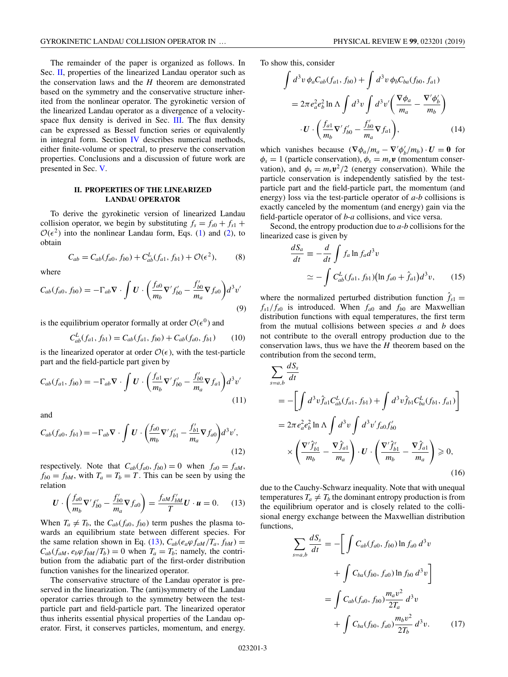<span id="page-2-0"></span>The remainder of the paper is organized as follows. In Sec. II, properties of the linearized Landau operator such as the conservation laws and the *H* theorem are demonstrated based on the symmetry and the conservative structure inherited from the nonlinear operator. The gyrokinetic version of the linearized Landau operator as a divergence of a velocity-space flux density is derived in Sec. [III.](#page-3-0) The flux density can be expressed as Bessel function series or equivalently in integral form. Section [IV](#page-7-0) describes numerical methods, either finite-volume or spectral, to preserve the conservation properties. Conclusions and a discussion of future work are presented in Sec. [V.](#page-7-0)

### **II. PROPERTIES OF THE LINEARIZED LANDAU OPERATOR**

To derive the gyrokinetic version of linearized Landau collision operator, we begin by substituting  $f_s = f_{s0} + f_{s1} +$  $\mathcal{O}(\epsilon^2)$  into the nonlinear Landau form, Eqs. [\(1\)](#page-0-0) and [\(2\)](#page-0-0), to obtain

$$
C_{ab} = C_{ab}(f_{a0}, f_{b0}) + C_{ab}^{L}(f_{a1}, f_{b1}) + \mathcal{O}(\epsilon^2),
$$
 (8)

where

$$
C_{ab}(f_{a0}, f_{b0}) = -\Gamma_{ab}\nabla \cdot \int \boldsymbol{U} \cdot \left(\frac{f_{a0}}{m_b}\nabla' f'_{b0} - \frac{f'_{b0}}{m_a}\nabla f_{a0}\right) d^3 v'
$$
\n(9)

is the equilibrium operator formally at order  $\mathcal{O}(\epsilon^0)$  and

$$
C_{ab}^L(f_{a1}, f_{b1}) = C_{ab}(f_{a1}, f_{b0}) + C_{ab}(f_{a0}, f_{b1}) \tag{10}
$$

is the linearized operator at order  $\mathcal{O}(\epsilon)$ , with the test-particle part and the field-particle part given by

$$
C_{ab}(f_{a1}, f_{b0}) = -\Gamma_{ab}\nabla \cdot \int \boldsymbol{U} \cdot \left(\frac{f_{a1}}{m_b}\nabla' f'_{b0} - \frac{f'_{b0}}{m_a}\nabla f_{a1}\right) d^3v'
$$
\n(11)

and

$$
C_{ab}(f_{a0}, f_{b1}) = -\Gamma_{ab}\nabla \cdot \int \boldsymbol{U} \cdot \left(\frac{f_{a0}}{m_b}\nabla' f'_{b1} - \frac{f'_{b1}}{m_a}\nabla f_{a0}\right) d^3v',\tag{12}
$$

respectively. Note that  $C_{ab}(f_{a0}, f_{b0}) = 0$  when  $f_{a0} = f_{aM}$ ,  $f_{b0} = f_{bM}$ , with  $T_a = T_b = T$ . This can be seen by using the relation

$$
\boldsymbol{U} \cdot \left(\frac{f_{a0}}{m_b} \nabla' f'_{b0} - \frac{f'_{b0}}{m_a} \nabla f_{a0}\right) = \frac{f_{aM} f'_{bM}}{T} \boldsymbol{U} \cdot \boldsymbol{u} = 0. \tag{13}
$$

When  $T_a \neq T_b$ , the  $C_{ab}(f_{a0}, f_{b0})$  term pushes the plasma towards an equilibrium state between different species. For the same relation shown in Eq. (13),  $C_{ab}(e_a\varphi f_{aM}/T_a, f_{bM}) =$  $C_{ab}(f_{aM}, e_b\varphi f_{bM}/T_b) = 0$  when  $T_a = T_b$ ; namely, the contribution from the adiabatic part of the first-order distribution function vanishes for the linearized operator.

The conservative structure of the Landau operator is preserved in the linearization. The (anti)symmetry of the Landau operator carries through to the symmetry between the testparticle part and field-particle part. The linearized operator thus inherits essential physical properties of the Landau operator. First, it conserves particles, momentum, and energy.

To show this, consider

$$
\int d^3v \, \phi_a C_{ab}(f_{a1}, f_{b0}) + \int d^3v \, \phi_b C_{ba}(f_{b0}, f_{a1})
$$
\n
$$
= 2\pi e_a^2 e_b^2 \ln \Lambda \int d^3v \int d^3v' \left(\frac{\nabla \phi_a}{m_a} - \frac{\nabla' \phi'_b}{m_b}\right)
$$
\n
$$
\cdot U \cdot \left(\frac{f_{a1}}{m_b} \nabla' f'_{b0} - \frac{f'_{b0}}{m_a} \nabla f_{a1}\right),
$$
\n(14)

which vanishes because  $(\nabla \phi_a/m_a - \nabla' \phi'_b/m_b) \cdot U = 0$  for  $\phi_s = 1$  (particle conservation),  $\phi_s = m_s \mathbf{v}$  (momentum conservation), and  $\phi_s = m_s \mathbf{v}^2/2$  (energy conservation). While the particle conservation is independently satisfied by the testparticle part and the field-particle part, the momentum (and energy) loss via the test-particle operator of *a*-*b* collisions is exactly canceled by the momentum (and energy) gain via the field-particle operator of *b*-*a* collisions, and vice versa.

Second, the entropy production due to *a*-*b* collisions for the linearized case is given by

$$
\frac{dS_a}{dt} \equiv -\frac{d}{dt} \int f_a \ln f_a d^3 v
$$
  

$$
\simeq -\int C_{ab}^L (f_{a1}, f_{b1}) (\ln f_{a0} + \hat{f}_{a1}) d^3 v, \qquad (15)
$$

where the normalized perturbed distribution function  $\hat{f}_{s1}$  =  $f_{s1}/f_{s0}$  is introduced. When  $f_{a0}$  and  $f_{b0}$  are Maxwellian distribution functions with equal temperatures, the first term from the mutual collisions between species *a* and *b* does not contribute to the overall entropy production due to the conservation laws, thus we have the *H* theorem based on the contribution from the second term,

$$
\sum_{s=a,b} \frac{dS_s}{dt} \n= -\left[ \int d^3v \hat{f}_{a1} C_{ab}^L(f_{a1}, f_{b1}) + \int d^3v \hat{f}_{b1} C_{ba}^L(f_{b1}, f_{a1}) \right] \n= 2\pi e_a^2 e_b^2 \ln \Lambda \int d^3v \int d^3v' f_{a0} f_{b0}' \n\times \left( \frac{\nabla' \hat{f}_{b1}'}{m_b} - \frac{\nabla \hat{f}_{a1}}{m_a} \right) \cdot U \cdot \left( \frac{\nabla' \hat{f}_{b1}'}{m_b} - \frac{\nabla \hat{f}_{a1}}{m_a} \right) \ge 0,
$$
\n(16)

due to the Cauchy-Schwarz inequality. Note that with unequal temperatures  $T_a \neq T_b$  the dominant entropy production is from the equilibrium operator and is closely related to the collisional energy exchange between the Maxwellian distribution functions,

$$
\sum_{s=a,b} \frac{dS_s}{dt} = -\left[ \int C_{ab}(f_{a0}, f_{b0}) \ln f_{a0} d^3 v + \int C_{ba}(f_{b0}, f_{a0}) \ln f_{b0} d^3 v \right]
$$

$$
= \int C_{ab}(f_{a0}, f_{b0}) \frac{m_a v^2}{2T_a} d^3 v + \int C_{ba}(f_{b0}, f_{a0}) \frac{m_b v^2}{2T_b} d^3 v. \tag{17}
$$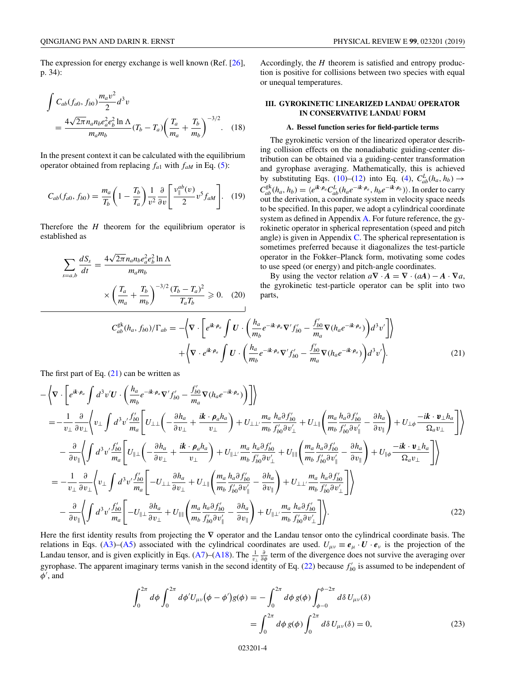<span id="page-3-0"></span>The expression for energy exchange is well known (Ref. [\[26\]](#page-12-0), p. 34):

$$
\int C_{ab}(f_{a0}, f_{b0}) \frac{m_a v^2}{2} d^3 v
$$
\n
$$
= \frac{4\sqrt{2\pi} n_a n_b e_a^2 e_b^2 \ln \Lambda}{m_a m_b} (T_b - T_a) \left(\frac{T_a}{m_a} + \frac{T_b}{m_b}\right)^{-3/2}.
$$
\n(18)

In the present context it can be calculated with the equilibrium operator obtained from replacing  $f_{a1}$  with  $f_{aM}$  in Eq. [\(5\)](#page-1-0):

$$
C_{ab}(f_{a0}, f_{b0}) = \frac{m_a}{T_b} \left( 1 - \frac{T_b}{T_a} \right) \frac{1}{v^2} \frac{\partial}{\partial v} \left[ \frac{v_{\parallel}^{ab}(v)}{2} v^5 f_{aM} \right]. \tag{19}
$$

Therefore the *H* theorem for the equilibrium operator is established as

$$
\sum_{s=a,b} \frac{dS_s}{dt} = \frac{4\sqrt{2\pi} n_a n_b e_a^2 e_b^2 \ln \Lambda}{m_a m_b} \times \left(\frac{T_a}{m_a} + \frac{T_b}{m_b}\right)^{-3/2} \frac{(T_b - T_a)^2}{T_a T_b} \ge 0. \quad (20)
$$

Accordingly, the *H* theorem is satisfied and entropy production is positive for collisions between two species with equal or unequal temperatures.

### **III. GYROKINETIC LINEARIZED LANDAU OPERATOR IN CONSERVATIVE LANDAU FORM**

#### **A. Bessel function series for field-particle terms**

The gyrokinetic version of the linearized operator describing collision effects on the nonadiabatic guiding-center distribution can be obtained via a guiding-center transformation and gyrophase averaging. Mathematically, this is achieved by substituting Eqs. [\(10\)](#page-2-0)–[\(12\)](#page-2-0) into Eq. [\(4\)](#page-1-0),  $C_{ab}^L(h_a, h_b) \rightarrow$  $C_{ab}^{\text{gk}}(h_a, h_b) = \langle e^{ik \cdot \rho_a} C_{ab}^L(h_a e^{-ik \cdot \rho_a}, h_b e^{-ik \cdot \rho_b}) \rangle$ . In order to carry out the derivation, a coordinate system in velocity space needs to be specified. In this paper, we adopt a cylindrical coordinate system as defined in Appendix [A.](#page-8-0) For future reference, the gyrokinetic operator in spherical representation (speed and pitch angle) is given in Appendix  $C$ . The spherical representation is sometimes preferred because it diagonalizes the test-particle operator in the Fokker–Planck form, motivating some codes to use speed (or energy) and pitch-angle coordinates.

By using the vector relation  $a\nabla \cdot \mathbf{A} = \nabla \cdot (a\mathbf{A}) - \mathbf{A} \cdot \nabla a$ , the gyrokinetic test-particle operator can be split into two parts,

$$
C_{ab}^{\mathbf{g}\mathbf{k}}(h_a, f_{b0})/\Gamma_{ab} = -\Big\langle \nabla \cdot \left[ e^{i\mathbf{k} \cdot \boldsymbol{\rho}_a} \int \boldsymbol{U} \cdot \left( \frac{h_a}{m_b} e^{-i\mathbf{k} \cdot \boldsymbol{\rho}_a} \nabla' f'_{b0} - \frac{f'_{b0}}{m_a} \nabla (h_a e^{-i\mathbf{k} \cdot \boldsymbol{\rho}_a}) \right) d^3 v' \right] \Big\rangle + \Big\langle \nabla \cdot e^{i\mathbf{k} \cdot \boldsymbol{\rho}_a} \int \boldsymbol{U} \cdot \left( \frac{h_a}{m_b} e^{-i\mathbf{k} \cdot \boldsymbol{\rho}_a} \nabla' f'_{b0} - \frac{f'_{b0}}{m_a} \nabla (h_a e^{-i\mathbf{k} \cdot \boldsymbol{\rho}_a}) \right) d^3 v' \Big\rangle.
$$
 (21)

The first part of Eq.  $(21)$  can be written as

$$
-\left\langle \nabla \cdot \left[ e^{i\mathbf{k} \cdot \rho_a} \int d^3 v' U \cdot \left( \frac{h_a}{m_b} e^{-i\mathbf{k} \cdot \rho_a} \nabla' f'_{b0} - \frac{f'_{b0}}{m_a} \nabla (h_a e^{-i\mathbf{k} \cdot \rho_a}) \right) \right] \right\rangle
$$
  
\n
$$
= -\frac{1}{v_\perp} \frac{\partial}{\partial v_\perp} \left\langle v_\perp \int d^3 v' \frac{f'_{b0}}{m_a} \left[ U_{\perp \perp} \left( -\frac{\partial h_a}{\partial v_\perp} + \frac{i\mathbf{k} \cdot \rho_a h_a}{v_\perp} \right) + U_{\perp \perp} \frac{m_a}{m_b} \frac{h_a \partial f'_{b0}}{f'_{b0} \partial v'_\perp} + U_{\perp \parallel} \left( \frac{m_a}{m_b} \frac{h_a \partial f'_{b0}}{f'_{b0} \partial v'_\parallel} - \frac{\partial h_a}{\partial v_\parallel} \right) + U_{\perp \phi} \frac{-i\mathbf{k} \cdot \mathbf{v}_\perp h_a}{\Omega_a v_\perp} \right] \right\rangle
$$
  
\n
$$
- \frac{\partial}{\partial v_\parallel} \left\langle \int d^3 v' \frac{f'_{b0}}{m_a} \left[ U_{\parallel \perp} \left( -\frac{\partial h_a}{\partial v_\perp} + \frac{i\mathbf{k} \cdot \rho_a h_a}{v_\perp} \right) + U_{\parallel \perp} \frac{m_a}{m_b} \frac{h_a \partial f'_{b0}}{f'_{b0} \partial v'_\perp} + U_{\parallel \parallel} \left( \frac{m_a}{m_b} \frac{h_a \partial f'_{b0}}{f'_{b0} \partial v'_\parallel} - \frac{\partial h_a}{\partial v_\parallel} \right) + U_{\parallel \phi} \frac{-i\mathbf{k} \cdot \mathbf{v}_\perp h_a}{\Omega_a v_\perp} \right] \right\rangle
$$
  
\n
$$
= -\frac{1}{v_\perp} \frac{\partial}{\partial v_\perp} \left\langle v_\perp \int d^3 v' \frac{f'_{b0}}{m_a} \left[ -U_{\perp \perp} \frac{\partial h_a}{\partial v_\perp} + U_{\perp \parallel} \left( \
$$

Here the first identity results from projecting the **∇** operator and the Landau tensor onto the cylindrical coordinate basis. The relations in Eqs. [\(A3\)](#page-8-0)–[\(A5\)](#page-9-0) associated with the cylindrical coordinates are used.  $U_{\mu\nu} \equiv e_\mu \cdot U \cdot e_\nu$  is the projection of the Landau tensor, and is given explicitly in Eqs. [\(A7\)](#page-9-0)–[\(A18\)](#page-9-0). The  $\frac{1}{v_\perp} \frac{\partial}{\partial \phi}$  term of the divergence does not survive the averaging over gyrophase. The apparent imaginary terms vanish in the second identity of Eq.  $(22)$  because  $f'_{b0}$  is assumed to be independent of  $\phi'$ , and

$$
\int_0^{2\pi} d\phi \int_0^{2\pi} d\phi' U_{\mu\nu}(\phi - \phi') g(\phi) = -\int_0^{2\pi} d\phi g(\phi) \int_{\phi - 0}^{\phi - 2\pi} d\delta U_{\mu\nu}(\delta)
$$

$$
= \int_0^{2\pi} d\phi g(\phi) \int_0^{2\pi} d\delta U_{\mu\nu}(\delta) = 0,
$$
(23)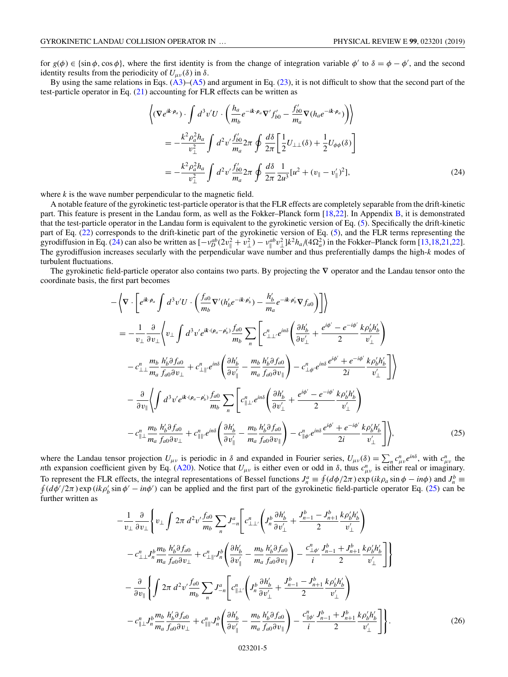<span id="page-4-0"></span>for  $g(\phi) \in \{\sin \phi, \cos \phi\}$ , where the first identity is from the change of integration variable  $\phi'$  to  $\delta = \phi - \phi'$ , and the second identity results from the periodicity of  $U_{\mu\nu}(\delta)$  in  $\delta$ .

By using the same relations in Eqs. [\(A3\)](#page-8-0)–[\(A5\)](#page-9-0) and argument in Eq. [\(23\)](#page-3-0), it is not difficult to show that the second part of the test-particle operator in Eq. [\(21\)](#page-3-0) accounting for FLR effects can be written as

$$
\left\langle (\nabla e^{i\mathbf{k}\cdot\boldsymbol{\rho}_a}) \cdot \int d^3v'U \cdot \left( \frac{h_a}{m_b} e^{-i\mathbf{k}\cdot\boldsymbol{\rho}_a} \nabla' f'_{b0} - \frac{f'_{b0}}{m_a} \nabla (h_a e^{-i\mathbf{k}\cdot\boldsymbol{\rho}_a}) \right) \right\rangle
$$
  
\n
$$
= -\frac{k^2 \rho_a^2 h_a}{v_\perp^2} \int d^2v' \frac{f'_{b0}}{m_a} 2\pi \oint \frac{d\delta}{2\pi} \left[ \frac{1}{2} U_{\perp\perp}(\delta) + \frac{1}{2} U_{\phi\phi}(\delta) \right]
$$
  
\n
$$
= -\frac{k^2 \rho_a^2 h_a}{v_\perp^2} \int d^2v' \frac{f'_{b0}}{m_a} 2\pi \oint \frac{d\delta}{2\pi} \frac{1}{2u^3} [u^2 + (v_{\parallel} - v'_{\parallel})^2],
$$
 (24)

where *k* is the wave number perpendicular to the magnetic field.

A notable feature of the gyrokinetic test-particle operator is that the FLR effects are completely separable from the drift-kinetic part. This feature is present in the Landau form, as well as the Fokker–Planck form [\[18,22\]](#page-12-0). In Appendix [B,](#page-9-0) it is demonstrated that the test-particle operator in the Landau form is equivalent to the gyrokinetic version of Eq. [\(5\)](#page-1-0). Specifically the drift-kinetic part of Eq. [\(22\)](#page-3-0) corresponds to the drift-kinetic part of the gyrokinetic version of Eq. [\(5\)](#page-1-0), and the FLR terms representing the gyrodiffusion in Eq. (24) can also be written as  $[-v_D^{ab}(2v_\parallel^2 + v_\perp^2) - v_\parallel^{ab}v_\perp^2]k^2h_a/(4\Omega_a^2)$  in the Fokker–Planck form [\[13,18,21,22\]](#page-12-0). The gyrodiffusion increases secularly with the perpendicular wave number and thus preferentially damps the high-*k* modes of turbulent fluctuations.

The gyrokinetic field-particle operator also contains two parts. By projecting the **∇** operator and the Landau tensor onto the coordinate basis, the first part becomes

$$
-\left\langle \nabla \cdot \left[ e^{ik \cdot \rho_a} \int d^3 v' U \cdot \left( \frac{f_{a0}}{m_b} \nabla'(h'_b e^{-ik \cdot \rho'_b}) - \frac{h'_b}{m_a} e^{-ik \cdot \rho'_b} \nabla f_{a0} \right) \right] \right\rangle
$$
  
\n
$$
= -\frac{1}{v_\perp} \frac{\partial}{\partial v_\perp} \left\langle v_\perp \int d^3 v' e^{ik \cdot (\rho_a - \rho'_b)} \frac{f_{a0}}{m_b} \sum_n \left[ c^n_{\perp \perp} e^{in\delta} \left( \frac{\partial h'_b}{\partial v'_\perp} + \frac{e^{i\phi'} - e^{-i\phi'}}{2} \frac{k \rho'_b h'_b}{v'_\perp} \right) \right. \right\rangle
$$
  
\n
$$
-c^n_{\perp \perp} \frac{m_b}{m_a} \frac{h'_b \partial f_{a0}}{f_{a0} \partial v_\perp} + c^n_{\perp \parallel'} e^{in\delta} \left( \frac{\partial h'_b}{\partial v'_\parallel} - \frac{m_b}{m_a} \frac{h'_b \partial f_{a0}}{f_{a0} \partial v_\parallel} \right) - c^n_{\perp \phi'} e^{in\delta} \frac{e^{i\phi'} + e^{-i\phi'}}{2i} \frac{k \rho'_b h'_b}{v'_\perp} \right] \right\rangle
$$
  
\n
$$
- \frac{\partial}{\partial v_\parallel} \left\langle \int d^3 v' e^{ik \cdot (\rho_a - \rho'_b)} \frac{f_{a0}}{m_b} \sum_n \left[ c^n_{\parallel \perp'} e^{in\delta} \left( \frac{\partial h'_b}{\partial v'_\perp} + \frac{e^{i\phi'} - e^{-i\phi'}}{2} \frac{k \rho'_b h'_b}{v'_\perp} \right) \right. \right\rangle
$$
  
\n
$$
-c^n_{\parallel \perp} \frac{m_b}{m_a} \frac{h'_b \partial f_{a0}}{f_{a0} \partial v_\perp} + c^n_{\parallel \parallel'} e^{in\delta} \left( \frac{\partial h'_b}{\partial v'_\parallel} - \frac{m_b}{m_a} \frac{h'_b \partial f_{a0}}{f_{a0} \partial v_\parallel} \right) - c^n_{\parallel \phi'} e^{in\delta} \frac{e^{i\
$$

where the Landau tensor projection  $U_{\mu\nu}$  is periodic in  $\delta$  and expanded in Fourier series,  $U_{\mu\nu}(\delta) = \sum_n c^n_{\mu\nu} e^{in\delta}$ , with  $c^n_{\mu\nu}$  the *n*th expansion coefficient given by Eq. [\(A20\)](#page-9-0). Notice that  $U_{\mu\nu}$  is either even or odd in  $\delta$ , thus  $c_{\mu\nu}^n$  is either real or imaginary. To represent the FLR effects, the integral representations of Bessel functions  $J_n^a \equiv \oint (d\phi/2\pi) \exp(ik\rho_a \sin \phi - in\phi)$  and  $J_n^b$ To represent the FLR effects, the integral representations of Bessel functions  $J_n^a \equiv \oint (d\phi/2\pi) \exp(ik\rho_a \sin \phi - in\phi)$  and  $J_n^b \equiv \oint (d\phi'/2\pi) \exp(ik\rho_b' \sin \phi' - in\phi')$  can be applied and the first part of the gyrokinetic field-parti further written as

$$
-\frac{1}{v_{\perp}} \frac{\partial}{\partial v_{\perp}} \left\{ v_{\perp} \int 2\pi \, d^2 v' \frac{f_{a0}}{m_b} \sum_n J_{-n}^a \left[ c_{\perp \perp}^n \left( J_n^b \frac{\partial h_b'}{\partial v_{\perp}'} + \frac{J_{n-1}^b - J_{n+1}^b}{2} \frac{k \rho_b' h_b'}{v_{\perp}'} \right) \right. \\ - c_{\perp \perp}^n J_n^b \frac{m_b}{m_a} \frac{h_b' \partial f_{a0}}{f_{a0} \partial v_{\perp}} + c_{\perp \parallel'}^n J_n^b \left( \frac{\partial h_b'}{\partial v_{\parallel}'} - \frac{m_b}{m_a} \frac{h_b' \partial f_{a0}}{f_{a0} \partial v_{\parallel}} \right) - \frac{c_{\perp \phi'}^n}{i} \frac{J_{n-1}^b + J_{n+1}^b}{2} \frac{k \rho_b' h_b'}{v_{\perp}'} \right] \right\} \\ - \frac{\partial}{\partial v_{\parallel}} \left\{ \int 2\pi \, d^2 v' \frac{f_{a0}}{m_b} \sum_n J_{-n}^a \left[ c_{\parallel \perp}^n \left( J_n^b \frac{\partial h_b'}{\partial v_{\perp}'} + \frac{J_{n-1}^b - J_{n+1}^b}{2} \frac{k \rho_b' h_b'}{v_{\perp}'} \right) \right. \\ - c_{\parallel \perp}^n J_n^b \frac{m_b}{m_a} \frac{h_b' \partial f_{a0}}{f_{a0} \partial v_{\perp}} + c_{\parallel \parallel'}^n J_n^b \left( \frac{\partial h_b'}{\partial v_{\parallel}'} - \frac{m_b}{m_a} \frac{h_b' \partial f_{a0}}{f_{a0} \partial v_{\parallel}} \right) - \frac{c_{\parallel \phi'}^n}{i} \frac{J_{n-1}^b + J_{n+1}^b}{2} \frac{k \rho_b' h_b'}{v_{\perp}'} \right] \right\} . \tag{26}
$$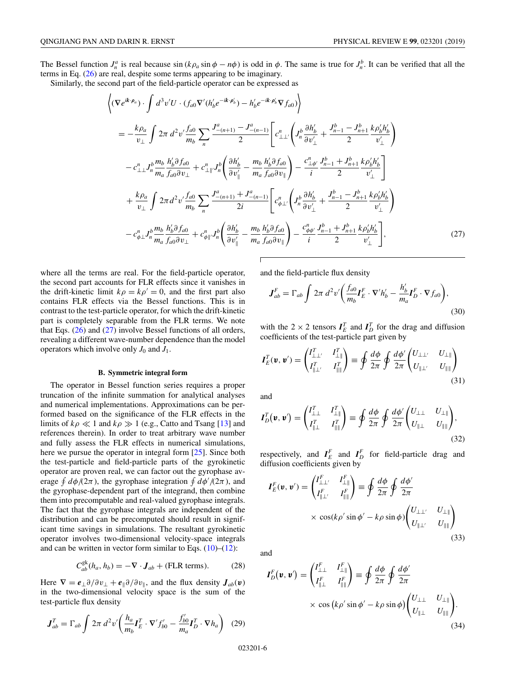<span id="page-5-0"></span>The Bessel function  $J_n^a$  is real because  $\sin(k\rho_a \sin\phi - n\phi)$  is odd in  $\phi$ . The same is true for  $J_n^b$ . It can be verified that all the terms in Eq. [\(26\)](#page-4-0) are real, despite some terms appearing to be imaginary.

Similarly, the second part of the field-particle operator can be expressed as

$$
\left\langle (\nabla e^{ik \cdot \rho_a}) \cdot \int d^3 v' U \cdot (f_{a0} \nabla'(h'_b e^{-ik \cdot \rho'_b}) - h'_b e^{-ik \cdot \rho'_b} \nabla f_{a0}) \right\rangle
$$
\n
$$
= -\frac{k \rho_a}{v_\perp} \int 2\pi \, d^2 v' \frac{f_{a0}}{m_b} \sum_n \frac{J_{-(n+1)}^a - J_{-(n-1)}^a}{2} \left[ c_{\perp \perp'}^a \left( J_n^b \frac{\partial h'_b}{\partial v'_\perp} + \frac{J_{n-1}^b - J_{n+1}^b}{2} \frac{k \rho'_b h'_b}{v'_\perp} \right) \right.
$$
\n
$$
-c_{\perp \perp}^n J_n^b \frac{m_b}{m_a} \frac{h'_b \partial f_{a0}}{f_{a0} \partial v_\perp} + c_{\perp \parallel}^n J_n^b \left( \frac{\partial h'_b}{\partial v'_\parallel} - \frac{m_b}{m_a} \frac{h'_b \partial f_{a0}}{f_{a0} \partial v_\parallel} \right) - \frac{c_{\perp \phi'}^n}{i} \frac{J_{n-1}^b + J_{n+1}^b}{2} \frac{k \rho'_b h'_b}{v'_\perp} \right]
$$
\n
$$
+ \frac{k \rho_a}{v_\perp} \int 2\pi d^2 v' \frac{f_{a0}}{m_b} \sum_n \frac{J_{-(n+1)}^a + J_{-(n-1)}^a}{2i} \left[ c_{\phi \perp'}^a \left( J_n^b \frac{\partial h'_b}{\partial v'_\perp} + \frac{J_{n-1}^b - J_{n+1}^b}{2} \frac{k \rho'_b h'_b}{v'_\perp} \right) \right.
$$
\n
$$
-c_{\phi \perp}^n J_n^b \frac{m_b}{m_a} \frac{h'_b \partial f_{a0}}{f_{a0} \partial v_\perp} + c_{\phi \parallel}^n J_n^b \left( \frac{\partial h'_b}{\partial v'_\parallel} - \frac{m_b}{m_a} \frac{h'_b \partial f_{a0}}{f_{a0} \partial v_\parallel} \right) - \frac{c_{\phi \phi'}^n}{i} \frac{J_{n-1}^b + J_{n+1}^b}{2} \frac{k
$$

where all the terms are real. For the field-particle operator, the second part accounts for FLR effects since it vanishes in the drift-kinetic limit  $k\rho = k\rho' = 0$ , and the first part also contains FLR effects via the Bessel functions. This is in contrast to the test-particle operator, for which the drift-kinetic part is completely separable from the FLR terms. We note that Eqs.  $(26)$  and  $(27)$  involve Bessel functions of all orders, revealing a different wave-number dependence than the model operators which involve only  $J_0$  and  $J_1$ .

### **B. Symmetric integral form**

The operator in Bessel function series requires a proper truncation of the infinite summation for analytical analyses and numerical implementations. Approximations can be performed based on the significance of the FLR effects in the limits of  $k\rho \ll 1$  and  $k\rho \gg 1$  (e.g., Catto and Tsang [\[13\]](#page-12-0) and references therein). In order to treat arbitrary wave number and fully assess the FLR effects in numerical simulations, here we pursue the operator in integral form [\[25\]](#page-12-0). Since both the test-particle and field-particle parts of the gyrokinetic operator are proven real, we can factor out the gyrophase average  $\oint d\phi/(2\pi)$ , the gyrophase integration  $\oint d\phi'/(2\pi)$ , and the gyrophase-dependent part of the integrand, then combine them into precomputable and real-valued gyrophase integrals. The fact that the gyrophase integrals are independent of the distribution and can be precomputed should result in significant time savings in simulations. The resultant gyrokinetic operator involves two-dimensional velocity-space integrals and can be written in vector form similar to Eqs.  $(10)$ – $(12)$ :

$$
C_{ab}^{\mathsf{gk}}(h_a, h_b) = -\nabla \cdot \mathbf{J}_{ab} + (\text{FLR terms}). \tag{28}
$$

Here  $\nabla = e_{\perp} \partial / \partial v_{\perp} + e_{\parallel} \partial / \partial v_{\parallel}$ , and the flux density  $J_{ab}(v)$ in the two-dimensional velocity space is the sum of the test-particle flux density

$$
\boldsymbol{J}_{ab}^T = \Gamma_{ab} \int 2\pi \, d^2 v' \bigg( \frac{h_a}{m_b} \boldsymbol{I}_E^T \cdot \nabla' f'_{b0} - \frac{f'_{b0}}{m_a} \boldsymbol{I}_D^T \cdot \nabla h_a \bigg) \tag{29}
$$

and the field-particle flux density

$$
\mathbf{J}_{ab}^F = \Gamma_{ab} \int 2\pi \, d^2 v' \bigg( \frac{f_{a0}}{m_b} \mathbf{I}_E^F \cdot \nabla' h_b' - \frac{h_b'}{m_a} \mathbf{I}_D^F \cdot \nabla f_{a0} \bigg),\tag{30}
$$

with the 2  $\times$  2 tensors  $I_E^T$  and  $I_D^T$  for the drag and diffusion coefficients of the test-particle part given by

$$
\boldsymbol{I}_E^T(\boldsymbol{v}, \boldsymbol{v}') = \begin{pmatrix} I_{\perp \perp'}^T & I_{\perp \parallel}^T \\ I_{\parallel \perp'}^T & I_{\parallel \parallel}^T \end{pmatrix} \equiv \oint \frac{d\phi}{2\pi} \oint \frac{d\phi'}{2\pi} \begin{pmatrix} U_{\perp \perp'} & U_{\perp \parallel} \\ U_{\parallel \perp'} & U_{\parallel \parallel} \end{pmatrix}
$$
(31)

and

 $\sqrt{ }$ 

$$
I_D^T(\mathbf{v}, \mathbf{v}') = \begin{pmatrix} I_{\perp \perp}^T & I_{\perp \parallel}^T \\ I_{\parallel \perp}^T & I_{\parallel \parallel}^T \end{pmatrix} \equiv \oint \frac{d\phi}{2\pi} \oint \frac{d\phi'}{2\pi} \begin{pmatrix} U_{\perp \perp} & U_{\perp \parallel} \\ U_{\parallel \perp} & U_{\parallel \parallel} \end{pmatrix},
$$
\n(32)

respectively, and  $I_E^F$  and  $I_D^F$  for field-particle drag and diffusion coefficients given by

$$
I_E^F(\mathbf{v}, \mathbf{v}') = \begin{pmatrix} I_{\perp \perp'}^F & I_{\perp \parallel}^F \\ I_{\parallel \perp'}^F & I_{\parallel \parallel}^F \end{pmatrix} \equiv \oint \frac{d\phi}{2\pi} \oint \frac{d\phi'}{2\pi}
$$
  
 
$$
\times \cos(k\rho' \sin \phi' - k\rho \sin \phi) \begin{pmatrix} U_{\perp \perp'} & U_{\perp \parallel} \\ U_{\parallel \perp'} & U_{\parallel \parallel} \end{pmatrix}
$$
 (33)

and

$$
I_D^F(v, v') = \begin{pmatrix} I_{\perp \perp}^F & I_{\perp \parallel}^F \\ I_{\parallel \perp}^F & I_{\parallel \parallel}^F \end{pmatrix} \equiv \oint \frac{d\phi}{2\pi} \oint \frac{d\phi'}{2\pi}
$$
  
 
$$
\times \cos (k\rho' \sin \phi' - k\rho \sin \phi) \begin{pmatrix} U_{\perp \perp} & U_{\perp \parallel} \\ U_{\parallel \perp} & U_{\parallel \parallel} \end{pmatrix} .
$$
 (34)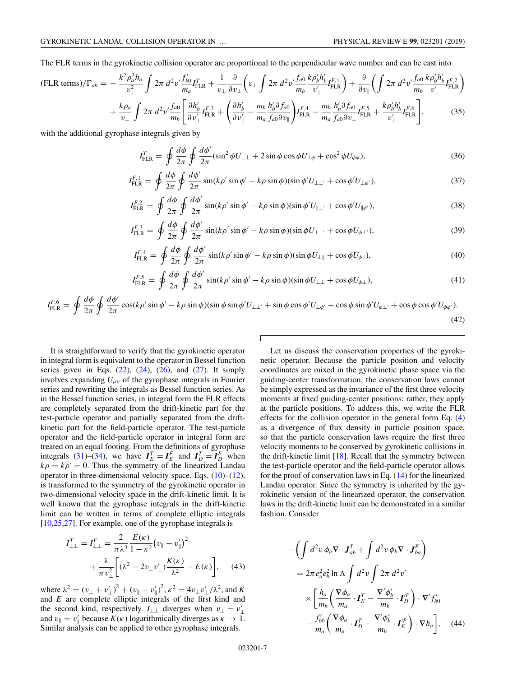<span id="page-6-0"></span>The FLR terms in the gyrokinetic collision operator are proportional to the perpendicular wave number and can be cast into

$$
(FLR terms)/\Gamma_{ab} = -\frac{k^2 \rho_a^2 h_a}{v_\perp^2} \int 2\pi \, d^2 v' \frac{f'_{b0}}{m_a} I_{FLR}^T + \frac{1}{v_\perp} \frac{\partial}{\partial v_\perp} \left( v_\perp \int 2\pi \, d^2 v' \frac{f_{a0}}{m_b} \frac{k \rho_b' h'_b}{v'_\perp} I_{FLR}^{F,1} \right) + \frac{\partial}{\partial v_\parallel} \left( \int 2\pi \, d^2 v' \frac{f_{a0}}{m_b} \frac{k \rho_b' h'_b}{v'_\perp} I_{FLR}^{F,2} \right) + \frac{k \rho_a}{v_\perp} \int 2\pi \, d^2 v' \frac{f_{a0}}{m_b} \left[ \frac{\partial h'_b}{\partial v'_\perp} I_{FLR}^{F,3} + \left( \frac{\partial h'_b}{\partial v'_\parallel} - \frac{m_b}{m_a} \frac{h'_b \partial f_{a0}}{f_{a0} \partial v_\parallel} \right) I_{FLR}^{F,4} - \frac{m_b}{m_a} \frac{h'_b \partial f_{a0}}{f_{a0} \partial v_\perp} I_{FLR}^{F,5} + \frac{k \rho_b' h'_b}{v'_\perp} I_{FLR}^{F,6} \right],
$$
(35)

with the additional gyrophase integrals given by

$$
I_{\text{FLR}}^T = \oint \frac{d\phi}{2\pi} \oint \frac{d\phi'}{2\pi} (\sin^2 \phi U_{\perp\perp} + 2\sin \phi \cos \phi U_{\perp\phi} + \cos^2 \phi U_{\phi\phi}), \tag{36}
$$

$$
I_{\text{FLR}}^{F,1} = \oint \frac{d\phi}{2\pi} \oint \frac{d\phi'}{2\pi} \sin(k\rho' \sin\phi' - k\rho \sin\phi)(\sin\phi' U_{\perp\perp'} + \cos\phi' U_{\perp\phi'}),\tag{37}
$$

$$
I_{\text{FLR}}^{F,2} = \oint \frac{d\phi}{2\pi} \oint \frac{d\phi'}{2\pi} \sin(k\rho' \sin\phi' - k\rho \sin\phi)(\sin\phi' U_{\parallel \perp'} + \cos\phi' U_{\parallel \phi'}), \tag{38}
$$

$$
I_{\text{FLR}}^{F,3} = \oint \frac{d\phi}{2\pi} \oint \frac{d\phi'}{2\pi} \sin(k\rho' \sin\phi' - k\rho \sin\phi)(\sin\phi U_{\perp\perp'} + \cos\phi U_{\phi\perp'}),\tag{39}
$$

$$
I_{\text{FLR}}^{F,4} = \oint \frac{d\phi}{2\pi} \oint \frac{d\phi'}{2\pi} \sin(k\rho' \sin\phi' - k\rho \sin\phi)(\sin\phi U_{\perp\parallel} + \cos\phi U_{\phi\parallel}),\tag{40}
$$

$$
I_{\text{FLR}}^{F,5} = \oint \frac{d\phi}{2\pi} \oint \frac{d\phi'}{2\pi} \sin(k\rho' \sin\phi' - k\rho \sin\phi)(\sin\phi U_{\perp\perp} + \cos\phi U_{\phi\perp}),\tag{41}
$$

$$
I_{\text{FLR}}^{F,6} = \oint \frac{d\phi}{2\pi} \oint \frac{d\phi'}{2\pi} \cos(k\rho' \sin\phi' - k\rho \sin\phi)(\sin\phi \sin\phi' U_{\perp\perp'} + \sin\phi \cos\phi' U_{\perp\phi'} + \cos\phi \sin\phi' U_{\phi\perp'} + \cos\phi \cos\phi' U_{\phi\phi'}).
$$
\n(42)

It is straightforward to verify that the gyrokinetic operator in integral form is equivalent to the operator in Bessel function series given in Eqs.  $(22)$ ,  $(24)$ ,  $(26)$ , and  $(27)$ . It simply involves expanding  $U_{\mu\nu}$  of the gyrophase integrals in Fourier series and rewriting the integrals as Bessel function series. As in the Bessel function series, in integral form the FLR effects are completely separated from the drift-kinetic part for the test-particle operator and partially separated from the driftkinetic part for the field-particle operator. The test-particle operator and the field-particle operator in integral form are treated on an equal footing. From the definitions of gyrophase integrals [\(31\)](#page-5-0)–[\(34\)](#page-5-0), we have  $I_E^T = I_E^F$  and  $I_D^T = I_D^F$  when  $k\rho = k\rho' = 0$ . Thus the symmetry of the linearized Landau operator in three-dimensional velocity space, Eqs.  $(10)$ – $(12)$ , is transformed to the symmetry of the gyrokinetic operator in two-dimensional velocity space in the drift-kinetic limit. It is well known that the gyrophase integrals in the drift-kinetic limit can be written in terms of complete elliptic integrals [\[10,25,27\]](#page-12-0). For example, one of the gyrophase integrals is

$$
I_{\perp\perp}^{T} = I_{\perp\perp}^{F} = \frac{2}{\pi \lambda^{3}} \frac{E(\kappa)}{1 - \kappa^{2}} (v_{\parallel} - v_{\parallel}')^{2} + \frac{\lambda}{\pi v_{\perp}^{2}} \left[ (\lambda^{2} - 2v_{\perp}v_{\perp}') \frac{K(\kappa)}{\lambda^{2}} - E(\kappa) \right], \quad (43)
$$

where  $\lambda^2 = (v_\perp + v'_\perp)^2 + (v_\parallel - v'_\parallel)^2$ ,  $\kappa^2 = 4v_\perp v'_\perp/\lambda^2$ , and *K* and *E* are complete elliptic integrals of the first kind and the second kind, respectively.  $I_{\perp\perp}$  diverges when  $v_{\perp} = v'_{\perp}$ and  $v_{\parallel} = v_{\parallel}'$  because  $K(\kappa)$  logarithmically diverges as  $\kappa \to 1$ . Similar analysis can be applied to other gyrophase integrals.

Let us discuss the conservation properties of the gyrokinetic operator. Because the particle position and velocity coordinates are mixed in the gyrokinetic phase space via the guiding-center transformation, the conservation laws cannot be simply expressed as the invariance of the first three velocity moments at fixed guiding-center positions; rather, they apply at the particle positions. To address this, we write the FLR effects for the collision operator in the general form Eq. [\(4\)](#page-1-0) as a divergence of flux density in particle position space, so that the particle conservation laws require the first three velocity moments to be conserved by gyrokinetic collisions in the drift-kinetic limit [\[18\]](#page-12-0). Recall that the symmetry between the test-particle operator and the field-particle operator allows for the proof of conservation laws in Eq. [\(14\)](#page-2-0) for the linearized Landau operator. Since the symmetry is inherited by the gyrokinetic version of the linearized operator, the conservation laws in the drift-kinetic limit can be demonstrated in a similar fashion. Consider

$$
-\left(\int d^2v \phi_a \nabla \cdot \mathbf{J}_{ab}^T + \int d^2v \phi_b \nabla \cdot \mathbf{J}_{ba}^F\right)
$$
  
=  $2\pi e_a^2 e_b^2 \ln \Lambda \int d^2v \int 2\pi d^2v'$   

$$
\times \left[\frac{h_a}{m_b} \left(\frac{\nabla \phi_a}{m_a} \cdot \mathbf{I}_E^T - \frac{\nabla' \phi_b'}{m_b} \cdot \mathbf{I}_D^{'F}\right) \cdot \nabla' f_{b0}'\right]
$$

$$
-\frac{f_{b0}'}{m_a} \left(\frac{\nabla \phi_a}{m_a} \cdot \mathbf{I}_D^T - \frac{\nabla' \phi_b'}{m_b} \cdot \mathbf{I}_E^{'F}\right) \cdot \nabla h_a\right], \quad (44)
$$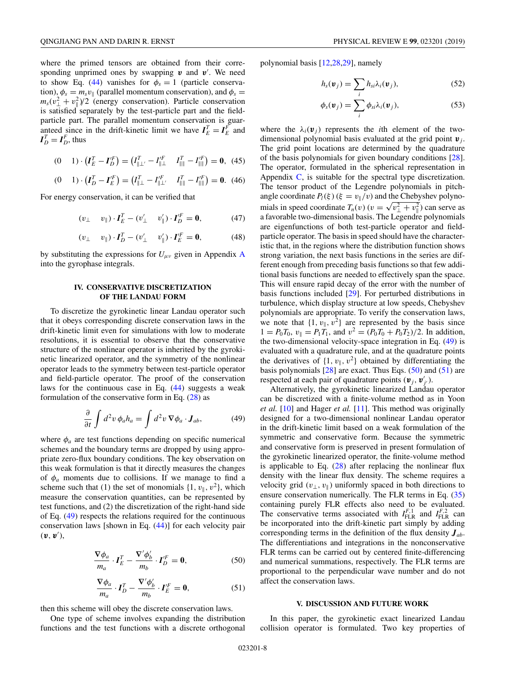<span id="page-7-0"></span>where the primed tensors are obtained from their corresponding unprimed ones by swapping  $v$  and  $v'$ . We need to show Eq. [\(44\)](#page-6-0) vanishes for  $\phi_s = 1$  (particle conservation),  $\phi_s = m_s v_{\parallel}$  (parallel momentum conservation), and  $\phi_s =$  $m_s(v_\perp^2 + v_\parallel^2)/2$  (energy conservation). Particle conservation is satisfied separately by the test-particle part and the fieldparticle part. The parallel momentum conservation is guaranteed since in the drift-kinetic limit we have  $I_E^T = I_E^F$  and  $I_D^T = I_D^F$ , thus

$$
(0 \t 1) \cdot (I_E^T - I_D^{'F}) = (I_{\parallel \perp'}^T - I_{\parallel \perp}^{'F} \t I_{\parallel \parallel}^T - I_{\parallel \parallel}^{'F}) = 0, \t (45)
$$

$$
(0 \t 1) \cdot (I_D^T - I_E^F) = (I_{\parallel \perp}^T - I_{\parallel \perp'}^F \t I_{\parallel \parallel}^T - I_{\parallel \parallel}^F) = \mathbf{0}. \t (46)
$$

For energy conservation, it can be verified that

$$
(v_{\perp} \quad v_{\parallel}) \cdot \boldsymbol{I}_E^T - (v_{\perp}' \quad v_{\parallel}') \cdot \boldsymbol{I}_D^{\prime F} = \boldsymbol{0}, \tag{47}
$$

$$
(v_{\perp} \quad v_{\parallel}) \cdot \boldsymbol{I}_D^T - (v_{\perp}' \quad v_{\parallel}') \cdot \boldsymbol{I}_E^{'F} = \boldsymbol{0}, \tag{48}
$$

by substituting the expressions for  $U_{\mu\nu}$  given in [A](#page-8-0)ppendix A into the gyrophase integrals.

### **IV. CONSERVATIVE DISCRETIZATION OF THE LANDAU FORM**

To discretize the gyrokinetic linear Landau operator such that it obeys corresponding discrete conservation laws in the drift-kinetic limit even for simulations with low to moderate resolutions, it is essential to observe that the conservative structure of the nonlinear operator is inherited by the gyrokinetic linearized operator, and the symmetry of the nonlinear operator leads to the symmetry between test-particle operator and field-particle operator. The proof of the conservation laws for the continuous case in Eq.  $(44)$  suggests a weak formulation of the conservative form in Eq. [\(28\)](#page-5-0) as

$$
\frac{\partial}{\partial t} \int d^2 v \, \phi_a h_a = \int d^2 v \, \nabla \phi_a \cdot \mathbf{J}_{ab},\tag{49}
$$

where  $\phi_a$  are test functions depending on specific numerical schemes and the boundary terms are dropped by using appropriate zero-flux boundary conditions. The key observation on this weak formulation is that it directly measures the changes of  $\phi_a$  moments due to collisions. If we manage to find a scheme such that (1) the set of monomials  $\{1, v_{\parallel}, v^2\}$ , which measure the conservation quantities, can be represented by test functions, and (2) the discretization of the right-hand side of Eq. (49) respects the relations required for the continuous conservation laws [shown in Eq. [\(44\)](#page-6-0)] for each velocity pair  $(\mathbf{v}, \mathbf{v}'),$ 

$$
\frac{\nabla \phi_a}{m_a} \cdot I_E^T - \frac{\nabla' \phi_b'}{m_b} \cdot I_D^{'F} = \mathbf{0},\tag{50}
$$

$$
\frac{\nabla \phi_a}{m_a} \cdot \boldsymbol{I}_D^T - \frac{\nabla' \phi_b'}{m_b} \cdot \boldsymbol{I}_E^{'F} = \mathbf{0},\tag{51}
$$

then this scheme will obey the discrete conservation laws.

One type of scheme involves expanding the distribution functions and the test functions with a discrete orthogonal polynomial basis [\[12,28,29\]](#page-12-0), namely

$$
h_s(\mathbf{v}_j) = \sum_i h_{si} \lambda_i(\mathbf{v}_j),
$$
 (52)

$$
\phi_s(\mathbf{v}_j) = \sum_i \phi_{si} \lambda_i(\mathbf{v}_j), \qquad (53)
$$

where the  $\lambda_i(\mathbf{v}_i)$  represents the *i*th element of the twodimensional polynomial basis evaluated at the grid point *v <sup>j</sup>*. The grid point locations are determined by the quadrature of the basis polynomials for given boundary conditions [\[28\]](#page-12-0). The operator, formulated in the spherical representation in Appendix  $\dot{C}$ , is suitable for the spectral type discretization. The tensor product of the Legendre polynomials in pitchangle coordinate  $P_l(\xi)(\xi = v_{\parallel}/v)$  and the Chebyshev polynomials in speed coordinate  $T_n(v)$  ( $v = \sqrt{v_{\perp}^2 + v_{\parallel}^2}$ ) can serve as a favorable two-dimensional basis. The Legendre polynomials are eigenfunctions of both test-particle operator and fieldparticle operator. The basis in speed should have the characteristic that, in the regions where the distribution function shows strong variation, the next basis functions in the series are different enough from preceding basis functions so that few additional basis functions are needed to effectively span the space. This will ensure rapid decay of the error with the number of basis functions included [\[29\]](#page-12-0). For perturbed distributions in turbulence, which display structure at low speeds, Chebyshev polynomials are appropriate. To verify the conservation laws, we note that  $\{1, v_{\parallel}, v^2\}$  are represented by the basis since  $1 = P_0T_0$ ,  $v_{\parallel} = P_1T_1$ , and  $v^2 = (P_0T_0 + P_0T_2)/2$ . In addition, the two-dimensional velocity-space integration in Eq. (49) is evaluated with a quadrature rule, and at the quadrature points the derivatives of  $\{1, v_{\parallel}, v^2\}$  obtained by differentiating the basis polynomials  $[28]$  are exact. Thus Eqs. (50) and (51) are respected at each pair of quadrature points  $(v_j, v'_{j'})$ .

Alternatively, the gyrokinetic linearized Landau operator can be discretized with a finite-volume method as in Yoon *et al.* [\[10\]](#page-12-0) and Hager *et al.* [\[11\]](#page-12-0). This method was originally designed for a two-dimensional nonlinear Landau operator in the drift-kinetic limit based on a weak formulation of the symmetric and conservative form. Because the symmetric and conservative form is preserved in present formulation of the gyrokinetic linearized operator, the finite-volume method is applicable to Eq.  $(28)$  after replacing the nonlinear flux density with the linear flux density. The scheme requires a velocity grid  $(v_{\perp}, v_{\parallel})$  uniformly spaced in both directions to ensure conservation numerically. The FLR terms in Eq. [\(35\)](#page-6-0) containing purely FLR effects also need to be evaluated. The conservative terms associated with  $I_{\text{FLR}}^{F,1}$  and  $I_{\text{FLR}}^{F,2}$  can be incorporated into the drift-kinetic part simply by adding corresponding terms in the definition of the flux density  $J_{ab}$ . The differentiations and integrations in the nonconservative FLR terms can be carried out by centered finite-differencing and numerical summations, respectively. The FLR terms are proportional to the perpendicular wave number and do not affect the conservation laws.

#### **V. DISCUSSION AND FUTURE WORK**

In this paper, the gyrokinetic exact linearized Landau collision operator is formulated. Two key properties of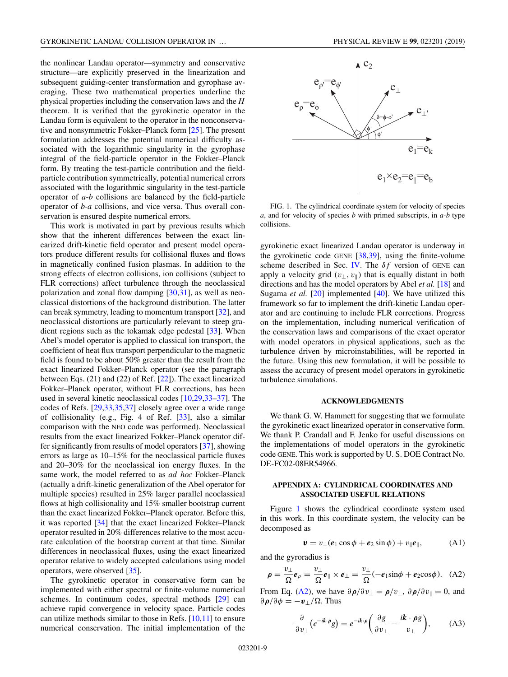<span id="page-8-0"></span>the nonlinear Landau operator—symmetry and conservative structure—are explicitly preserved in the linearization and subsequent guiding-center transformation and gyrophase averaging. These two mathematical properties underline the physical properties including the conservation laws and the *H* theorem. It is verified that the gyrokinetic operator in the Landau form is equivalent to the operator in the nonconservative and nonsymmetric Fokker–Planck form [\[25\]](#page-12-0). The present formulation addresses the potential numerical difficulty associated with the logarithmic singularity in the gyrophase integral of the field-particle operator in the Fokker–Planck form. By treating the test-particle contribution and the fieldparticle contribution symmetrically, potential numerical errors associated with the logarithmic singularity in the test-particle operator of *a*-*b* collisions are balanced by the field-particle operator of *b*-*a* collisions, and vice versa. Thus overall conservation is ensured despite numerical errors.

This work is motivated in part by previous results which show that the inherent differences between the exact linearized drift-kinetic field operator and present model operators produce different results for collisional fluxes and flows in magnetically confined fusion plasmas. In addition to the strong effects of electron collisions, ion collisions (subject to FLR corrections) affect turbulence through the neoclassical polarization and zonal flow damping [\[30,31\]](#page-12-0), as well as neoclassical distortions of the background distribution. The latter can break symmetry, leading to momentum transport [\[32\]](#page-12-0), and neoclassical distortions are particularly relevant to steep gradient regions such as the tokamak edge pedestal [\[33\]](#page-12-0). When Abel's model operator is applied to classical ion transport, the coefficient of heat flux transport perpendicular to the magnetic field is found to be about 50% greater than the result from the exact linearized Fokker–Planck operator (see the paragraph between Eqs. (21) and (22) of Ref. [\[22\]](#page-12-0)). The exact linearized Fokker–Planck operator, without FLR corrections, has been used in several kinetic neoclassical codes [\[10,29,33–37\]](#page-12-0). The codes of Refs. [\[29,33,35,37\]](#page-12-0) closely agree over a wide range of collisionality (e.g., Fig. 4 of Ref. [\[33\]](#page-12-0), also a similar comparison with the NEO code was performed). Neoclassical results from the exact linearized Fokker–Planck operator differ significantly from results of model operators [\[37\]](#page-12-0), showing errors as large as 10–15% for the neoclassical particle fluxes and 20–30% for the neoclassical ion energy fluxes. In the same work, the model referred to as *ad hoc* Fokker–Planck (actually a drift-kinetic generalization of the Abel operator for multiple species) resulted in 25% larger parallel neoclassical flows at high collisionality and 15% smaller bootstrap current than the exact linearized Fokker–Planck operator. Before this, it was reported [\[34\]](#page-12-0) that the exact linearized Fokker–Planck operator resulted in 20% differences relative to the most accurate calculation of the bootstrap current at that time. Similar differences in neoclassical fluxes, using the exact linearized operator relative to widely accepted calculations using model operators, were observed [\[35\]](#page-12-0).

The gyrokinetic operator in conservative form can be implemented with either spectral or finite-volume numerical schemes. In continuum codes, spectral methods [\[29\]](#page-12-0) can achieve rapid convergence in velocity space. Particle codes can utilize methods similar to those in Refs.  $[10,11]$  to ensure numerical conservation. The initial implementation of the



FIG. 1. The cylindrical coordinate system for velocity of species *a*, and for velocity of species *b* with primed subscripts, in *a*-*b* type collisions.

gyrokinetic exact linearized Landau operator is underway in the gyrokinetic code GENE  $[38,39]$ , using the finite-volume scheme described in Sec. [IV.](#page-7-0) The  $\delta f$  version of GENE can apply a velocity grid  $(v_+, v_+)$  that is equally distant in both directions and has the model operators by Abel *et al.* [\[18\]](#page-12-0) and Sugama *et al.* [\[20\]](#page-12-0) implemented [\[40\]](#page-12-0). We have utilized this framework so far to implement the drift-kinetic Landau operator and are continuing to include FLR corrections. Progress on the implementation, including numerical verification of the conservation laws and comparisons of the exact operator with model operators in physical applications, such as the turbulence driven by microinstabilities, will be reported in the future. Using this new formulation, it will be possible to assess the accuracy of present model operators in gyrokinetic turbulence simulations.

#### **ACKNOWLEDGMENTS**

We thank G. W. Hammett for suggesting that we formulate the gyrokinetic exact linearized operator in conservative form. We thank P. Crandall and F. Jenko for useful discussions on the implementations of model operators in the gyrokinetic code GENE. This work is supported by U. S. DOE Contract No. DE-FC02-08ER54966.

### **APPENDIX A: CYLINDRICAL COORDINATES AND ASSOCIATED USEFUL RELATIONS**

Figure 1 shows the cylindrical coordinate system used in this work. In this coordinate system, the velocity can be decomposed as

$$
\mathbf{v} = v_{\perp}(\mathbf{e}_1 \cos \phi + \mathbf{e}_2 \sin \phi) + v_{\parallel} \mathbf{e}_{\parallel}, \tag{A1}
$$

and the gyroradius is

$$
\rho = \frac{v_{\perp}}{\Omega} e_{\rho} = \frac{v_{\perp}}{\Omega} e_{\parallel} \times e_{\perp} = \frac{v_{\perp}}{\Omega} (-e_1 \sin \phi + e_2 \cos \phi). \quad (A2)
$$

From Eq. (A2), we have  $\partial \rho / \partial v_{\perp} = \rho / v_{\perp}$ ,  $\partial \rho / \partial v_{\parallel} = 0$ , and  $\partial \rho / \partial \phi = -v_{\perp}/\Omega$ . Thus

$$
\frac{\partial}{\partial v_{\perp}} \left( e^{-ik \cdot \rho} g \right) = e^{-ik \cdot \rho} \left( \frac{\partial g}{\partial v_{\perp}} - \frac{ik \cdot \rho g}{v_{\perp}} \right), \tag{A3}
$$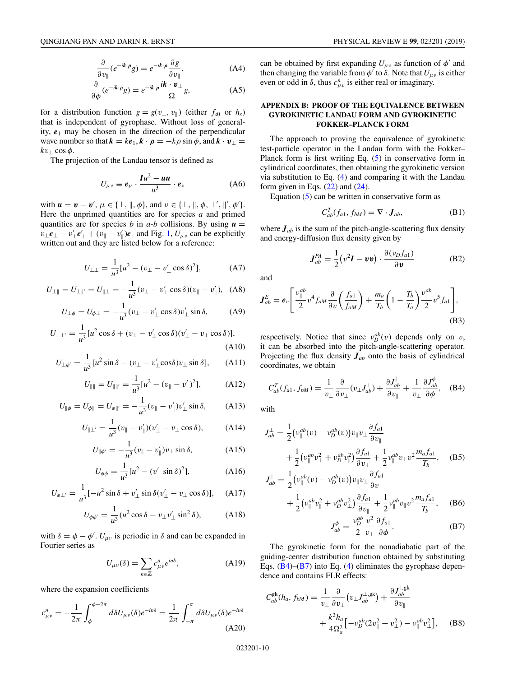<span id="page-9-0"></span>
$$
\frac{\partial}{\partial v_{\parallel}}(e^{-ik\cdot\rho}g) = e^{-ik\cdot\rho}\frac{\partial g}{\partial v_{\parallel}},
$$
\n(A4)

$$
\frac{\partial}{\partial \phi} (e^{-ik \cdot \rho} g) = e^{-ik \cdot \rho} \frac{ik \cdot v_{\perp}}{\Omega} g,\tag{A5}
$$

for a distribution function  $g = g(v_\perp, v_\parallel)$  (either  $f_{s0}$  or  $h_s$ ) that is independent of gyrophase. Without loss of generality,  $e_1$  may be chosen in the direction of the perpendicular wave number so that  $\mathbf{k} = k\mathbf{e}_1, \mathbf{k} \cdot \mathbf{p} = -k\rho \sin \phi$ , and  $\mathbf{k} \cdot \mathbf{v}_{\perp} =$  $kv_{\perp}$  cos  $\phi$ .

The projection of the Landau tensor is defined as

$$
U_{\mu\nu} \equiv \boldsymbol{e}_{\mu} \cdot \frac{\boldsymbol{I}u^2 - \boldsymbol{u}\boldsymbol{u}}{u^3} \cdot \boldsymbol{e}_{\nu}
$$
 (A6)

with  $u = v - v'$ ,  $\mu \in \{\perp, \parallel, \phi\}$ , and  $v \in \{\perp, \parallel, \phi, \perp', \parallel', \phi'\}$ . Here the unprimed quantities are for species *a* and primed quantities are for species *b* in  $a-b$  collisions. By using  $u =$  $v_{\perp}$ *e*<sub>⊥</sub> −  $v'_{\perp}$ *e*'<sub>⊥</sub> + (*v*<sub>||</sub> − *v*<sub>||</sub>'|)*e*<sub>||</sub> and Fig. [1,](#page-8-0) *U<sub>μ<i>v*</sub> can be explicitly written out and they are listed below for a reference:

$$
U_{\perp\perp} = \frac{1}{u^3} [u^2 - (v_{\perp} - v'_{\perp} \cos \delta)^2],
$$
 (A7)

$$
U_{\perp \parallel} = U_{\perp \parallel'} = U_{\parallel \perp} = -\frac{1}{u^3}(v_{\perp} - v'_{\perp} \cos \delta)(v_{\parallel} - v'_{\parallel}), \quad (A8)
$$

$$
U_{\perp \phi} = U_{\phi \perp} = -\frac{1}{u^3} (v_{\perp} - v'_{\perp} \cos \delta) v'_{\perp} \sin \delta, \tag{A9}
$$

$$
U_{\perp\perp'} = \frac{1}{u^3} [u^2 \cos \delta + (v_{\perp} - v'_{\perp} \cos \delta)(v'_{\perp} - v_{\perp} \cos \delta)],
$$
\n(A10)

$$
U_{\perp \phi'} = \frac{1}{u^3} [u^2 \sin \delta - (v_\perp - v'_\perp \cos \delta) v_\perp \sin \delta], \quad \text{(A11)}
$$

$$
U_{\parallel\parallel} = U_{\parallel\parallel'} = \frac{1}{u^3} [u^2 - (v_{\parallel} - v_{\parallel}')^2], \quad (A12)
$$

$$
U_{\|\phi} = U_{\phi\|} = U_{\phi\|'} = -\frac{1}{u^3}(v_{\|} - v_{\|}')v_{\perp}'\sin\delta,
$$
 (A13)

$$
U_{\|\perp'} = \frac{1}{u^3}(v_{\|} - v_{\|}')(v_{\perp}' - v_{\perp}\cos\delta), \quad (A14)
$$

$$
U_{\|\phi'} = -\frac{1}{u^3}(v_{\|} - v_{\|}')v_{\perp}\sin\delta, \tag{A15}
$$

$$
U_{\phi\phi} = \frac{1}{u^3} [u^2 - (v'_\perp \sin \delta)^2],
$$
 (A16)

$$
U_{\phi\perp'} = \frac{1}{u^3}[-u^2\sin\delta + v'_\perp\sin\delta(v'_\perp - v_\perp\cos\delta)], \quad \text{(A17)}
$$

$$
U_{\phi\phi'} = \frac{1}{u^3} (u^2 \cos \delta - v_\perp v'_\perp \sin^2 \delta), \tag{A18}
$$

with  $\delta = \phi - \phi'$ .  $U_{\mu\nu}$  is periodic in  $\delta$  and can be expanded in Fourier series as

$$
U_{\mu\nu}(\delta) = \sum_{n \in \mathbb{Z}} c^n_{\mu\nu} e^{in\delta}, \tag{A19}
$$

where the expansion coefficients

$$
c_{\mu\nu}^{n} = -\frac{1}{2\pi} \int_{\phi}^{\phi - 2\pi} d\delta U_{\mu\nu}(\delta) e^{-in\delta} = \frac{1}{2\pi} \int_{-\pi}^{\pi} d\delta U_{\mu\nu}(\delta) e^{-in\delta}
$$
\n(A20)

can be obtained by first expanding  $U_{\mu\nu}$  as function of  $\phi'$  and then changing the variable from  $\phi'$  to  $\delta$ . Note that  $U_{\mu\nu}$  is either even or odd in  $\delta$ , thus  $c_{\mu\nu}^n$  is either real or imaginary.

## **APPENDIX B: PROOF OF THE EQUIVALENCE BETWEEN GYROKINETIC LANDAU FORM AND GYROKINETIC FOKKER–PLANCK FORM**

The approach to proving the equivalence of gyrokinetic test-particle operator in the Landau form with the Fokker– Planck form is first writing Eq. [\(5\)](#page-1-0) in conservative form in cylindrical coordinates, then obtaining the gyrokinetic version via substitution to Eq. [\(4\)](#page-1-0) and comparing it with the Landau form given in Eqs.  $(22)$  and  $(24)$ .

Equation [\(5\)](#page-1-0) can be written in conservative form as

$$
C_{ab}^T(f_{a1}, f_{bM}) = \nabla \cdot \mathbf{J}_{ab}, \tag{B1}
$$

where  $J_{ab}$  is the sum of the pitch-angle-scattering flux density and energy-diffusion flux density given by

$$
\boldsymbol{J}_{ab}^{PA} = \frac{1}{2} (v^2 \boldsymbol{I} - \boldsymbol{v} \boldsymbol{v}) \cdot \frac{\partial (v_D f_{a1})}{\partial \boldsymbol{v}}
$$
(B2)

and

$$
\boldsymbol{J}_{ab}^E = \boldsymbol{e}_v \left[ \frac{v_{\parallel}^{ab}}{2} v^4 f_{aM} \frac{\partial}{\partial v} \left( \frac{f_{a1}}{f_{aM}} \right) + \frac{m_a}{T_b} \left( 1 - \frac{T_b}{T_a} \right) \frac{v_{\parallel}^{ab}}{2} v^5 f_{a1} \right],
$$
\n(B3)

respectively. Notice that since  $v_D^{ab}(v)$  depends only on *v*, it can be absorbed into the pitch-angle-scattering operator. Projecting the flux density *Jab* onto the basis of cylindrical coordinates, we obtain

$$
C_{ab}^T(f_{a1}, f_{bM}) = \frac{1}{v_{\perp}} \frac{\partial}{\partial v_{\perp}} (v_{\perp} J_{ab}^{\perp}) + \frac{\partial J_{ab}^{\parallel}}{\partial v_{\parallel}} + \frac{1}{v_{\perp}} \frac{\partial J_{ab}^{\phi}}{\partial \phi}, \quad (B4)
$$

with

$$
J_{ab}^{\perp} = \frac{1}{2} \left( v_{\parallel}^{ab} (v) - v_D^{ab} (v) \right) v_{\parallel} v_{\perp} \frac{\partial f_{a1}}{\partial v_{\parallel}}
$$
  
+ 
$$
\frac{1}{2} \left( v_{\parallel}^{ab} v_{\perp}^2 + v_D^{ab} v_{\parallel}^2 \right) \frac{\partial f_{a1}}{\partial v_{\perp}} + \frac{1}{2} v_{\parallel}^{ab} v_{\perp} v^2 \frac{m_a f_{a1}}{T_b}, \quad (B5)
$$

$$
J_{ab}^{\parallel} = \frac{1}{2} \left( v_{\parallel}^{ab}(v) - v_D^{ab}(v) \right) v_{\parallel} v_{\perp} \frac{\partial f_{a1}}{\partial v_{\perp}}
$$
  
+ 
$$
\frac{1}{2} \left( v_{\parallel}^{ab} v_{\parallel}^2 + v_D^{ab} v_{\perp}^2 \right) \frac{\partial f_{a1}}{\partial v_{\parallel}} + \frac{1}{2} v_{\parallel}^{ab} v_{\parallel} v^2 \frac{m_a f_{a1}}{T_b}, \quad (B6)
$$

$$
J_{ab}^{\phi} = \frac{v_D^{ab}}{2} \frac{v^2}{v_{\perp}} \frac{\partial f_{a1}}{\partial \phi}.
$$

The gyrokinetic form for the nonadiabatic part of the guiding-center distribution function obtained by substituting Eqs. (B4)–(B7) into Eq. [\(4\)](#page-1-0) eliminates the gyrophase dependence and contains FLR effects:

$$
C_{ab}^{\text{gk}}(h_a, f_{bM}) = \frac{1}{v_{\perp}} \frac{\partial}{\partial v_{\perp}} \left( v_{\perp} J_{ab}^{\perp, \text{gk}} \right) + \frac{\partial J_{ab}^{\parallel, \text{gk}}}{\partial v_{\parallel}} + \frac{k^2 h_a}{4\Omega_a^2} \left[ -v_D^{ab} (2v_{\parallel}^2 + v_{\perp}^2) - v_{\parallel}^{ab} v_{\perp}^2 \right], \quad \text{(B8)}
$$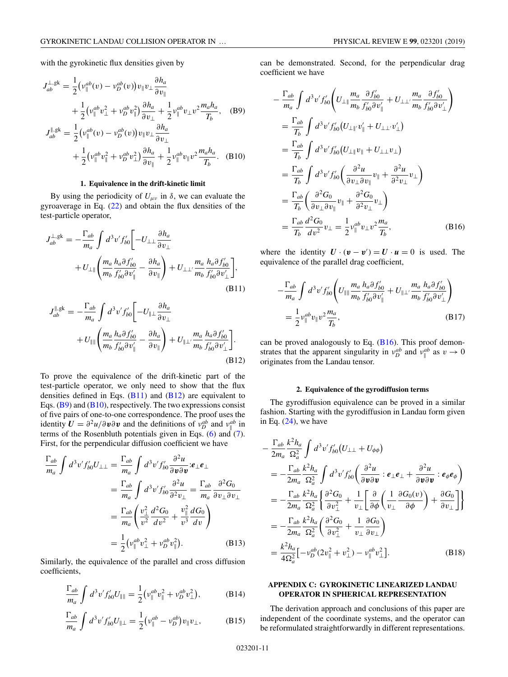<span id="page-10-0"></span>with the gyrokinetic flux densities given by

$$
J_{ab}^{\perp, gk} = \frac{1}{2} \left( v_{\parallel}^{ab}(v) - v_D^{ab}(v) \right) v_{\parallel} v_{\perp} \frac{\partial h_a}{\partial v_{\parallel}}
$$
  
+ 
$$
\frac{1}{2} \left( v_{\parallel}^{ab} v_{\perp}^2 + v_D^{ab} v_{\parallel}^2 \right) \frac{\partial h_a}{\partial v_{\perp}} + \frac{1}{2} v_{\parallel}^{ab} v_{\perp} v^2 \frac{m_a h_a}{T_b}, \quad \text{(B9)}
$$
  

$$
J_{ab}^{\parallel, gk} = \frac{1}{2} \left( v_{\parallel}^{ab}(v) - v_D^{ab}(v) \right) v_{\parallel} v_{\perp} \frac{\partial h_a}{\partial v_{\perp}}
$$
  
+ 
$$
\frac{1}{2} \left( v_{\parallel}^{ab} v_{\parallel}^2 + v_D^{ab} v_{\perp}^2 \right) \frac{\partial h_a}{\partial v_{\parallel}} + \frac{1}{2} v_{\parallel}^{ab} v_{\parallel} v^2 \frac{m_a h_a}{T_b}. \quad \text{(B10)}
$$

#### **1. Equivalence in the drift-kinetic limit**

By using the periodicity of  $U_{\mu\nu}$  in  $\delta$ , we can evaluate the gyroaverage in Eq. [\(22\)](#page-3-0) and obtain the flux densities of the test-particle operator,

$$
J_{ab}^{\perp, gk} = -\frac{\Gamma_{ab}}{m_a} \int d^3 v' f'_{b0} \left[ -U_{\perp\perp} \frac{\partial h_a}{\partial v_{\perp}} \right. + U_{\perp\parallel} \left( \frac{m_a}{m_b} \frac{h_a \partial f'_{b0}}{f'_{b0} \partial v'_{\parallel}} - \frac{\partial h_a}{\partial v_{\parallel}} \right) + U_{\perp\perp'} \frac{m_a}{m_b} \frac{h_a \partial f'_{b0}}{f'_{b0} \partial v'_{\perp}} \left. \right],
$$
(B11)

$$
J_{ab}^{\parallel, gk} = -\frac{\Gamma_{ab}}{m_a} \int d^3 v' f'_{b0} \left[ -U_{\parallel \perp} \frac{\partial h_a}{\partial v_{\perp}} \right. + U_{\parallel \parallel} \left( \frac{m_a}{m_b} \frac{h_a \partial f'_{b0}}{f'_{b0} \partial v'_{\parallel}} - \frac{\partial h_a}{\partial v_{\parallel}} \right) + U_{\parallel \perp'} \frac{m_a}{m_b} \frac{h_a \partial f'_{b0}}{f'_{b0} \partial v'_{\perp}} \left. \right].
$$
(B12)

To prove the equivalence of the drift-kinetic part of the test-particle operator, we only need to show that the flux densities defined in Eqs.  $(B11)$  and  $(B12)$  are equivalent to Eqs.  $(B9)$  and  $(B10)$ , respectively. The two expressions consist of five pairs of one-to-one correspondence. The proof uses the identity  $U = \frac{\partial^2 u}{\partial v \partial v}$  and the definitions of  $v_D^{ab}$  and  $v_{\parallel}^{ab}$  in terms of the Rosenbluth potentials given in Eqs.  $(6)$  and  $(7)$ . First, for the perpendicular diffusion coefficient we have

$$
\frac{\Gamma_{ab}}{m_a} \int d^3 v' f'_{b0} U_{\perp \perp} = \frac{\Gamma_{ab}}{m_a} \int d^3 v' f'_{b0} \frac{\partial^2 u}{\partial v \partial v} : e_{\perp} e_{\perp}
$$
\n
$$
= \frac{\Gamma_{ab}}{m_a} \int d^3 v' f'_{b0} \frac{\partial^2 u}{\partial^2 v_{\perp}} = \frac{\Gamma_{ab}}{m_a} \frac{\partial^2 G_0}{\partial v_{\perp} \partial v_{\perp}}
$$
\n
$$
= \frac{\Gamma_{ab}}{m_a} \left( \frac{v_{\perp}^2}{v^2} \frac{d^2 G_0}{dv^2} + \frac{v_{\parallel}^2}{v^3} \frac{d G_0}{dv} \right)
$$
\n
$$
= \frac{1}{2} \left( v_{\parallel}^{ab} v_{\perp}^2 + v_D^{ab} v_{\parallel}^2 \right). \tag{B13}
$$

Similarly, the equivalence of the parallel and cross diffusion coefficients,

$$
\frac{\Gamma_{ab}}{m_a} \int d^3 v' f'_{b0} U_{\parallel\parallel} = \frac{1}{2} \left( v_{\parallel}^{ab} v_{\parallel}^2 + v_D^{ab} v_{\perp}^2 \right), \tag{B14}
$$

$$
\frac{\Gamma_{ab}}{m_a} \int d^3 v' f'_{b0} U_{\parallel \perp} = \frac{1}{2} (\nu_{\parallel}^{ab} - \nu_D^{ab}) v_{\parallel} v_{\perp}, \tag{B15}
$$

can be demonstrated. Second, for the perpendicular drag coefficient we have

$$
-\frac{\Gamma_{ab}}{m_a} \int d^3 v' f'_{b0} \left( U_{\perp \parallel} \frac{m_a}{m_b} \frac{\partial f'_{b0}}{f'_{b0} \partial v'_{\parallel}} + U_{\perp \perp'} \frac{m_a}{m_b} \frac{\partial f'_{b0}}{f'_{b0} \partial v'_{\perp}} \right)
$$
  
\n
$$
= \frac{\Gamma_{ab}}{T_b} \int d^3 v' f'_{b0} (U_{\perp \parallel'} v'_{\parallel} + U_{\perp \perp'} v'_{\perp})
$$
  
\n
$$
= \frac{\Gamma_{ab}}{T_b} \int d^3 v' f'_{b0} (U_{\perp \parallel} v_{\parallel} + U_{\perp \perp} v_{\perp})
$$
  
\n
$$
= \frac{\Gamma_{ab}}{T_b} \int d^3 v' f'_{b0} \left( \frac{\partial^2 u}{\partial v_{\perp} \partial v_{\parallel}} v_{\parallel} + \frac{\partial^2 u}{\partial^2 v_{\perp}} v_{\perp} \right)
$$
  
\n
$$
= \frac{\Gamma_{ab}}{T_b} \left( \frac{\partial^2 G_0}{\partial v_{\perp} \partial v_{\parallel}} v_{\parallel} + \frac{\partial^2 G_0}{\partial^2 v_{\perp}} v_{\perp} \right)
$$
  
\n
$$
= \frac{\Gamma_{ab}}{T_b} \frac{d^2 G_0}{dv^2} v_{\perp} = \frac{1}{2} v_{\parallel}^{ab} v_{\perp} v^2 \frac{m_a}{T_b}, \qquad (B16)
$$

where the identity  $U \cdot (v - v') = U \cdot u = 0$  is used. The equivalence of the parallel drag coefficient,

$$
-\frac{\Gamma_{ab}}{m_a} \int d^3 v' f'_{b0} \left( U_{\parallel \parallel} \frac{m_a}{m_b} \frac{h_a \partial f'_{b0}}{f'_{b0} \partial v'_{\parallel}} + U_{\parallel \perp'} \frac{m_a}{m_b} \frac{h_a \partial f'_{b0}}{f'_{b0} \partial v'_{\perp}} \right)
$$
  
=  $\frac{1}{2} v_{\parallel}^{ab} v_{\parallel} v^2 \frac{m_a}{T_b},$  (B17)

can be proved analogously to Eq.  $(B16)$ . This proof demonstrates that the apparent singularity in  $v_D^{ab}$  and  $v_{\parallel}^{ab}$  as  $v \to 0$ originates from the Landau tensor.

#### **2. Equivalence of the gyrodiffusion terms**

The gyrodiffusion equivalence can be proved in a similar fashion. Starting with the gyrodiffusion in Landau form given in Eq.  $(24)$ , we have

$$
-\frac{\Gamma_{ab}}{2m_a} \frac{k^2 h_a}{\Omega_a^2} \int d^3 v' f'_{b0} (U_{\perp \perp} + U_{\phi \phi})
$$
  
\n
$$
= -\frac{\Gamma_{ab}}{2m_a} \frac{k^2 h_a}{\Omega_a^2} \int d^3 v' f'_{b0} \left( \frac{\partial^2 u}{\partial v \partial v} : e_{\perp} e_{\perp} + \frac{\partial^2 u}{\partial v \partial v} : e_{\phi} e_{\phi} \right)
$$
  
\n
$$
= -\frac{\Gamma_{ab}}{2m_a} \frac{k^2 h_a}{\Omega_a^2} \left\{ \frac{\partial^2 G_0}{\partial v_\perp^2} + \frac{1}{v_\perp} \left[ \frac{\partial}{\partial \phi} \left( \frac{1}{v_\perp} \frac{\partial G_0(v)}{\partial \phi} \right) + \frac{\partial G_0}{\partial v_\perp} \right] \right\}
$$
  
\n
$$
= -\frac{\Gamma_{ab}}{2m_a} \frac{k^2 h_a}{\Omega_a^2} \left( \frac{\partial^2 G_0}{\partial v_\perp^2} + \frac{1}{v_\perp} \frac{\partial G_0}{\partial v_\perp} \right)
$$
  
\n
$$
= \frac{k^2 h_a}{4\Omega_a^2} [-v_D^{ab} (2v_\parallel^2 + v_\perp^2) - v_\parallel^{ab} v_\perp^2].
$$
 (B18)

### **APPENDIX C: GYROKINETIC LINEARIZED LANDAU OPERATOR IN SPHERICAL REPRESENTATION**

The derivation approach and conclusions of this paper are independent of the coordinate systems, and the operator can be reformulated straightforwardly in different representations.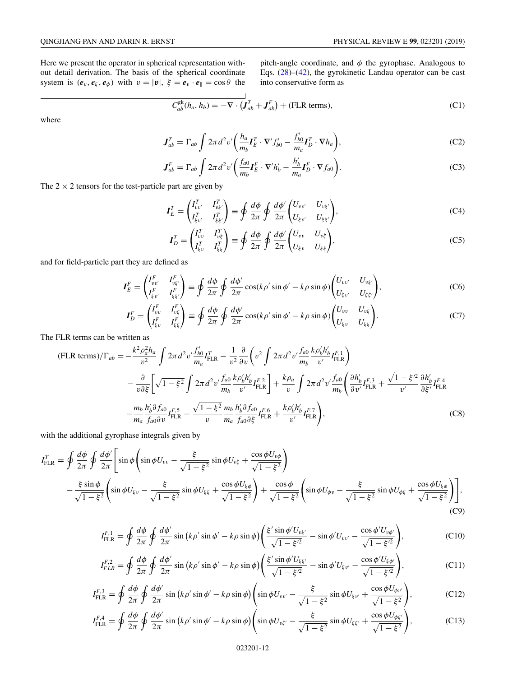Here we present the operator in spherical representation without detail derivation. The basis of the spherical coordinate system is  $(e_v, e_\xi, e_\phi)$  with  $v = |\mathbf{v}|, \xi = e_v \cdot e_\parallel = \cos \theta$  the pitch-angle coordinate, and  $\phi$  the gyrophase. Analogous to Eqs. [\(28\)](#page-5-0)–[\(42\)](#page-6-0), the gyrokinetic Landau operator can be cast into conservative form as

$$
\overrightarrow{C_{ab}^{gk}(h_a, h_b)} = -\nabla \cdot (\overrightarrow{J_{ab}} + \overrightarrow{J_{ab}^F}) + (\text{FLR terms}),
$$
\n(C1)

where

$$
\mathbf{J}_{ab}^T = \Gamma_{ab} \int 2\pi d^2 v' \bigg( \frac{h_a}{m_b} \mathbf{I}_E^T \cdot \nabla' f'_{b0} - \frac{f'_{b0}}{m_a} \mathbf{I}_D^T \cdot \nabla h_a \bigg), \tag{C2}
$$

$$
\mathbf{J}_{ab}^F = \Gamma_{ab} \int 2\pi d^2 v' \bigg( \frac{f_{a0}}{m_b} \mathbf{I}_E^F \cdot \nabla' h_b' - \frac{h_b'}{m_a} \mathbf{I}_D^F \cdot \nabla f_{a0} \bigg). \tag{C3}
$$

The  $2 \times 2$  tensors for the test-particle part are given by

$$
I_E^T = \begin{pmatrix} I_{vv'}^T & I_{v\xi'}^T \\ I_{\xi v'}^T & I_{\xi\xi'}^T \end{pmatrix} \equiv \oint \frac{d\phi}{2\pi} \oint \frac{d\phi'}{2\pi} \begin{pmatrix} U_{vv'} & U_{v\xi'} \\ U_{\xi v'} & U_{\xi\xi'} \end{pmatrix},\tag{C4}
$$

$$
I_D^T = \begin{pmatrix} I_{vv}^T & I_{v\xi}^T \\ I_{\xi v}^T & I_{\xi\xi}^T \end{pmatrix} \equiv \oint \frac{d\phi}{2\pi} \oint \frac{d\phi'}{2\pi} \begin{pmatrix} U_{vv} & U_{v\xi} \\ U_{\xi v} & U_{\xi\xi} \end{pmatrix},\tag{C5}
$$

and for field-particle part they are defined as

$$
\boldsymbol{I}_{E}^{F} = \begin{pmatrix} I_{vv'}^{F} & I_{v\xi'}^{F} \\ I_{\xi v'}^{F} & I_{\xi\xi'}^{F} \end{pmatrix} \equiv \oint \frac{d\phi}{2\pi} \oint \frac{d\phi'}{2\pi} \cos(k\rho' \sin\phi' - k\rho \sin\phi) \begin{pmatrix} U_{vv'} & U_{v\xi'} \\ U_{\xi v'} & U_{\xi\xi'} \end{pmatrix},\tag{C6}
$$

$$
I_D^F = \begin{pmatrix} I_{vv}^F & I_{v\xi}^F \\ I_{\xi v}^F & I_{\xi\xi}^F \end{pmatrix} \equiv \oint \frac{d\phi}{2\pi} \oint \frac{d\phi'}{2\pi} \cos(k\rho' \sin\phi' - k\rho \sin\phi) \begin{pmatrix} U_{vv} & U_{v\xi} \\ U_{\xi v} & U_{\xi\xi} \end{pmatrix} . \tag{C7}
$$

The FLR terms can be written as

$$
(\text{FLR terms})/\Gamma_{ab} = -\frac{k^2 \rho_a^2 h_a}{v^2} \int 2\pi d^2 v' \frac{f'_{b0}}{m_a} I_{\text{FLR}}^T - \frac{1}{v^2} \frac{\partial}{\partial v} \left( v^2 \int 2\pi d^2 v' \frac{f_{a0}}{m_b} \frac{k \rho_b' h'_b}{v'} I_{\text{FLR}}^F \right) - \frac{\partial}{v \partial \xi} \left[ \sqrt{1 - \xi^2} \int 2\pi d^2 v' \frac{f_{a0}}{m_b} \frac{k \rho_b' h'_b}{v'} I_{\text{FLR}}^F \right] + \frac{k \rho_a}{v} \int 2\pi d^2 v' \frac{f_{a0}}{m_b} \left( \frac{\partial h'_b}{\partial v'} I_{\text{FLR}}^F + \frac{\sqrt{1 - \xi'^2}}{v'} \frac{\partial h'_b}{\partial \xi'} I_{\text{FLR}}^F \right) - \frac{m_b}{m_a} \frac{h'_b \partial f_{a0}}{f_{a0} \partial v} I_{\text{FLR}}^F - \frac{\sqrt{1 - \xi^2}}{v} \frac{m_b}{m_a} \frac{h'_b \partial f_{a0}}{f_{a0} \partial \xi} I_{\text{FLR}}^F + \frac{k \rho_b' h'_b}{v'} I_{\text{FLR}}^F \right), \tag{C8}
$$

 $\overline{1}$ 

with the additional gyrophase integrals given by

$$
I_{\text{FLR}}^T = \oint \frac{d\phi}{2\pi} \oint \frac{d\phi'}{2\pi} \Bigg[ \sin\phi \Big( \sin\phi U_{vv} - \frac{\xi}{\sqrt{1-\xi^2}} \sin\phi U_{v\xi} + \frac{\cos\phi U_{v\phi}}{\sqrt{1-\xi^2}} \Bigg) - \frac{\xi \sin\phi}{\sqrt{1-\xi^2}} \Big( \sin\phi U_{\xi v} - \frac{\xi}{\sqrt{1-\xi^2}} \sin\phi U_{\xi\xi} + \frac{\cos\phi U_{\xi\phi}}{\sqrt{1-\xi^2}} \Bigg) + \frac{\cos\phi}{\sqrt{1-\xi^2}} \Big( \sin\phi U_{\phi v} - \frac{\xi}{\sqrt{1-\xi^2}} \sin\phi U_{\phi\xi} + \frac{\cos\phi U_{\xi\phi}}{\sqrt{1-\xi^2}} \Bigg) \Bigg],
$$
\n(C9)

$$
I_{\text{FLR}}^{F,1} = \oint \frac{d\phi}{2\pi} \oint \frac{d\phi'}{2\pi} \sin\left(k\rho'\sin\phi' - k\rho\sin\phi\right) \left(\frac{\xi'\sin\phi'U_{\nu\xi'}}{\sqrt{1-\xi'^2}} - \sin\phi'U_{\nu\nu'} - \frac{\cos\phi'U_{\nu\phi'}}{\sqrt{1-\xi'^2}}\right),\tag{C10}
$$

$$
I_{FLR}^{F,2} = \oint \frac{d\phi}{2\pi} \oint \frac{d\phi'}{2\pi} \sin(k\rho' \sin\phi' - k\rho \sin\phi) \left( \frac{\xi' \sin\phi' U_{\xi\xi'}}{\sqrt{1 - \xi'^2}} - \sin\phi' U_{\xi\nu'} - \frac{\cos\phi' U_{\xi\phi'}}{\sqrt{1 - \xi'^2}} \right),\tag{C11}
$$

$$
I_{\text{FLR}}^{F,3} = \oint \frac{d\phi}{2\pi} \oint \frac{d\phi'}{2\pi} \sin \left( k\rho' \sin \phi' - k\rho \sin \phi \right) \left( \sin \phi U_{vv'} - \frac{\xi}{\sqrt{1-\xi^2}} \sin \phi U_{\xi v'} + \frac{\cos \phi U_{\phi v'}}{\sqrt{1-\xi^2}} \right),\tag{C12}
$$

$$
I_{\text{FLR}}^{F,4} = \oint \frac{d\phi}{2\pi} \oint \frac{d\phi'}{2\pi} \sin \left( k\rho' \sin \phi' - k\rho \sin \phi \right) \left( \sin \phi U_{\nu\xi'} - \frac{\xi}{\sqrt{1-\xi^2}} \sin \phi U_{\xi\xi'} + \frac{\cos \phi U_{\phi\xi'}}{\sqrt{1-\xi^2}} \right),\tag{C13}
$$